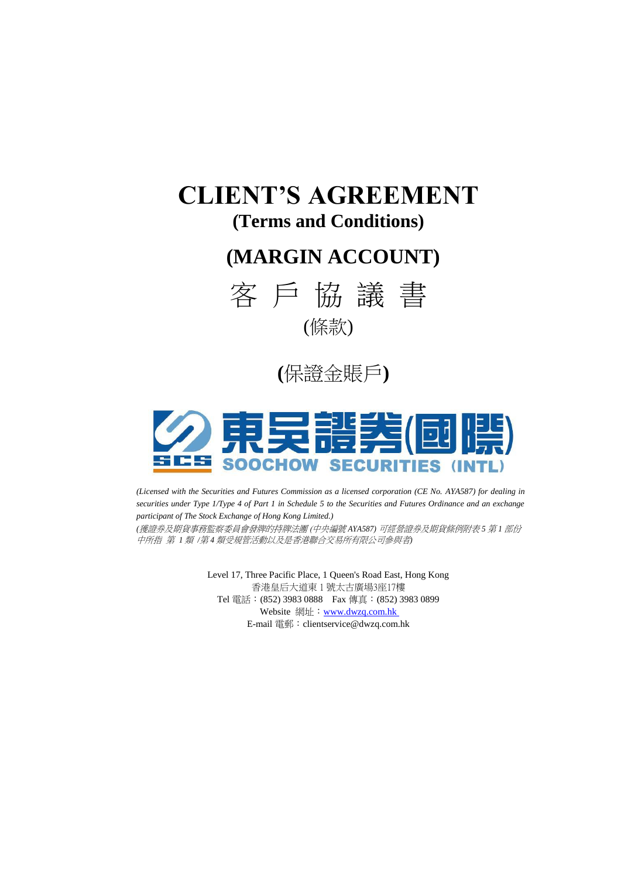# **CLIENT'S AGREEMENT (Terms and Conditions)**

# **(MARGIN ACCOUNT)**







*(Licensed with the Securities and Futures Commission as a licensed corporation (CE No. AYA587) for dealing in securities under Type 1/Type 4 of Part 1 in Schedule 5 to the Securities and Futures Ordinance and an exchange participant of The Stock Exchange of Hong Kong Limited.) (*獲證券及期貨事務監察委員會發牌的持牌法團 (中央編號 *AYA587)* 可經營證券及期貨條例附表 *5* 第 *1* 部份

中所指 第 *1* 類 */*第 *4* 類受規管活動以及是香港聯合交易所有限公司參與者*)*

Level 17, Three Pacific Place, 1 Queen's Road East, Hong Kong 香港皇后大道東 1 號太古廣場3座17樓 Tel 電話:(852) 3983 0888 Fax 傳真:(852) 3983 0899 Website 網址: www.dwzq.com.hk E-mail 電郵:[clientservice@dwzq.com.hk](mailto:clientservice@china-invs.hk)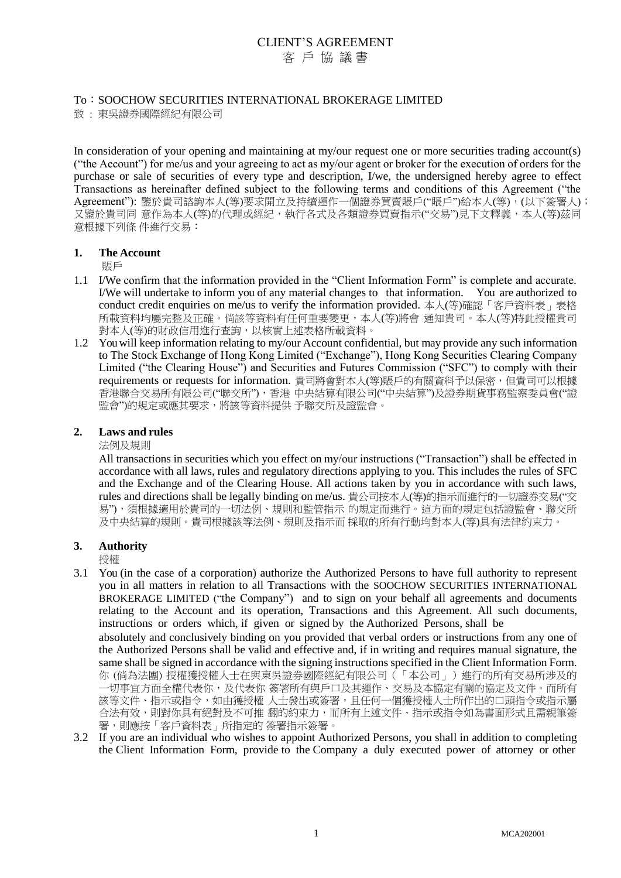# To:SOOCHOW SECURITIES INTERNATIONAL BROKERAGE LIMITED

致 : 東吳證券國際經紀有限公司

In consideration of your opening and maintaining at my/our request one or more securities trading account(s) ("the Account") for me/us and your agreeing to act as my/our agent or broker for the execution of orders for the purchase or sale of securities of every type and description, I/we, the undersigned hereby agree to effect Transactions as hereinafter defined subject to the following terms and conditions of this Agreement ("the Agreement"): 鑒於貴司諮詢本人(等)要求開立及持續運作一個證券買賣賬戶("賬戶")給本人(等),(以下簽署人); 又鑒於貴司同 意作為本人(等)的代理或經紀,執行各式及各類證券買賣指示("交易")見下文釋義,本人(等)茲同 意根據下列條 件進行交易:

## **1. The Account**

賬戶

- 1.1 I/We confirm that the information provided in the "Client Information Form" is complete and accurate. I/We will undertake to inform you of any material changes to that information. You are authorized to conduct credit enquiries on me/us to verify the information provided. 本人(等)確認「客戶資料表」表格 所載資料均屬完整及正確。倘該等資料有任何重要變更,本人(等)將會 通知貴司。本人(等)特此授權貴司 對本人(等)的財政信用進行查詢,以核實上述表格所載資料。
- 1.2 You will keep information relating to my/our Account confidential, but may provide any such information to The Stock Exchange of Hong Kong Limited ("Exchange"), Hong Kong Securities Clearing Company Limited ("the Clearing House") and Securities and Futures Commission ("SFC") to comply with their requirements or requests for information. 貴司將會對本人(等)賬戶的有關資料予以保密, 但貴司可以根據 香港聯合交易所有限公司("聯交所"),香港 中央結算有限公司("中央結算")及證券期貨事務監察委員會("證 監會")的規定或應其要求,將該等資料提供 予聯交所及證監會。

## **2. Laws and rules**

法例及規則

All transactions in securities which you effect on my/our instructions ("Transaction") shall be effected in accordance with all laws, rules and regulatory directions applying to you. This includes the rules of SFC and the Exchange and of the Clearing House. All actions taken by you in accordance with such laws, rules and directions shall be legally binding on me/us. 貴公司按本人(等)的指示而進行的一切證券交易("交 易"),須根據適用於貴司的一切法例、規則和監管指示 的規定而進行。這方面的規定包括證監會、聯交所 及中央結算的規則。貴司根據該等法例、規則及指示而 採取的所有行動均對本人(等)具有法律約束力。

#### **3. Authority**

授權

3.1 You (in the case of a corporation) authorize the Authorized Persons to have full authority to represent you in all matters in relation to all Transactions with the SOOCHOW SECURITIES INTERNATIONAL BROKERAGE LIMITED ("the Company") and to sign on your behalf all agreements and documents relating to the Account and its operation, Transactions and this Agreement. All such documents, instructions or orders which, if given or signed by the Authorized Persons, shall be

absolutely and conclusively binding on you provided that verbal orders or instructions from any one of the Authorized Persons shall be valid and effective and, if in writing and requires manual signature, the same shall be signed in accordance with the signing instructions specified in the Client Information Form. 你 (倘為法團) 授權獲授權人士在與東吳證券國際經紀有限公司(「本公司」)進行的所有交易所涉及的 一切事宜方面全權代表你,及代表你 簽署所有與戶口及其運作、交易及本協定有關的協定及文件。而所有 該等文件、指示或指令,如由獲授權 人士發出或簽署,且任何一個獲授權人士所作出的口頭指令或指示屬 合法有效,則對你具有絕對及不可推 翻的約束力,而所有上述文件、指示或指令如為書面形式且需親筆簽 署,則應按「客戶資料表」所指定的 簽署指示簽署。

3.2 If you are an individual who wishes to appoint Authorized Persons, you shall in addition to completing the Client Information Form, provide to the Company a duly executed power of attorney or other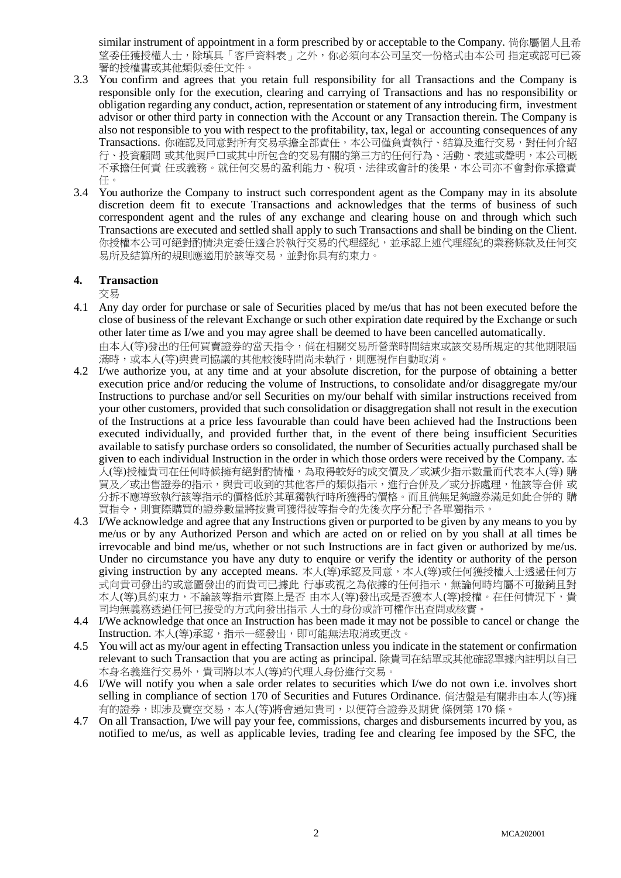similar instrument of appointment in a form prescribed by or acceptable to the Company. 倘你屬個人且希 望委任獲授權人士,除填具「客戶資料表」之外,你必須向本公司呈交一份格式由本公司 指定或認可已簽 署的授權書或其他類似委任文件。

- 3.3 You confirm and agrees that you retain full responsibility for all Transactions and the Company is responsible only for the execution, clearing and carrying of Transactions and has no responsibility or obligation regarding any conduct, action, representation or statement of any introducing firm, investment advisor or other third party in connection with the Account or any Transaction therein. The Company is also not responsible to you with respect to the profitability, tax, legal or accounting consequences of any Transactions. 你確認及同意對所有交易承擔全部責任,本公司僅負責執行、結算及進行交易,對任何介紹 行、投資顧問 或其他與戶口或其中所包含的交易有關的第三方的任何行為、活動、表述或聲明,本公司概 不承擔任何責 任或義務。就任何交易的盈利能力、稅項、法律或會計的後果,本公司亦不會對你承擔責 任。
- 3.4 You authorize the Company to instruct such correspondent agent as the Company may in its absolute discretion deem fit to execute Transactions and acknowledges that the terms of business of such correspondent agent and the rules of any exchange and clearing house on and through which such Transactions are executed and settled shall apply to such Transactions and shall be binding on the Client. 你授權本公司可絕對酌情決定委任適合於執行交易的代理經紀,並承認上述代理經紀的業務條款及任何交 易所及結算所的規則應適用於該等交易,並對你具有約束力。

## **4. Transaction**

交易

4.1 Any day order for purchase or sale of Securities placed by me/us that has not been executed before the close of business of the relevant Exchange or such other expiration date required by the Exchange or such other later time as I/we and you may agree shall be deemed to have been cancelled automatically. 由本人(等)發出的任何買賣證券的當天指令,倘在相關交易所營業時間結束或該交易所規定的其他期限屆

滿時,或本人(等)與貴司協議的其他較後時間尚未執行,則應視作自動取消。

- 4.2 I/we authorize you, at any time and at your absolute discretion, for the purpose of obtaining a better execution price and/or reducing the volume of Instructions, to consolidate and/or disaggregate my/our Instructions to purchase and/or sell Securities on my/our behalf with similar instructions received from your other customers, provided that such consolidation or disaggregation shall not result in the execution of the Instructions at a price less favourable than could have been achieved had the Instructions been executed individually, and provided further that, in the event of there being insufficient Securities available to satisfy purchase orders so consolidated, the number of Securities actually purchased shall be given to each individual Instruction in the order in which those orders were received by the Company. 本 人(等)授權貴司在任何時候擁有絕對酌情權,為取得較好的成交價及/或減少指示數量而代表本人(等) 購 買及/或出售證券的指示,與貴司收到的其他客戶的類似指示,進行合併及/或分拆處理,惟該等合併 或 分拆不應導致執行該等指示的價格低於其單獨執行時所獲得的價格。而且倘無足夠證券滿足如此合併的 購 買指令,則實際購買的證券數量將按貴司獲得彼等指令的先後次序分配予各單獨指示。
- 4.3 I/We acknowledge and agree that any Instructions given or purported to be given by any means to you by me/us or by any Authorized Person and which are acted on or relied on by you shall at all times be irrevocable and bind me/us, whether or not such Instructions are in fact given or authorized by me/us. Under no circumstance you have any duty to enquire or verify the identity or authority of the person giving instruction by any accepted means. 本人(等)承認及同意,本人(等)或任何獲授權人士透過任何方 式向貴司發出的或意圖發出的而貴司已據此 行事或視之為依據的任何指示,無論何時均屬不可撤銷且對 本人(等)具約束力,不論該等指示實際上是否 由本人(等)發出或是否獲本人(等)授權。在任何情況下,貴 司均無義務透過任何已接受的方式向發出指示 人士的身份或許可權作出查問或核實。
- 4.4 I/We acknowledge that once an Instruction has been made it may not be possible to cancel or change the Instruction. 本人(等)承認,指示一經發出,即可能無法取消或更改。
- 4.5 You will act as my/our agent in effecting Transaction unless you indicate in the statement or confirmation relevant to such Transaction that you are acting as principal. 除貴司在結單或其他確認單據內註明以自己 本身名義進行交易外,貴司將以本人(等)的代理人身份進行交易。
- 4.6 I/We will notify you when a sale order relates to securities which I/we do not own i.e. involves short selling in compliance of section 170 of Securities and Futures Ordinance. 倘沽盤是有關非由本人(等)擁 有的證券,即涉及賣空交易,本人(等)將會通知貴司,以便符合證券及期貨 條例第 170 條。
- 4.7 On all Transaction, I/we will pay your fee, commissions, charges and disbursements incurred by you, as notified to me/us, as well as applicable levies, trading fee and clearing fee imposed by the SFC, the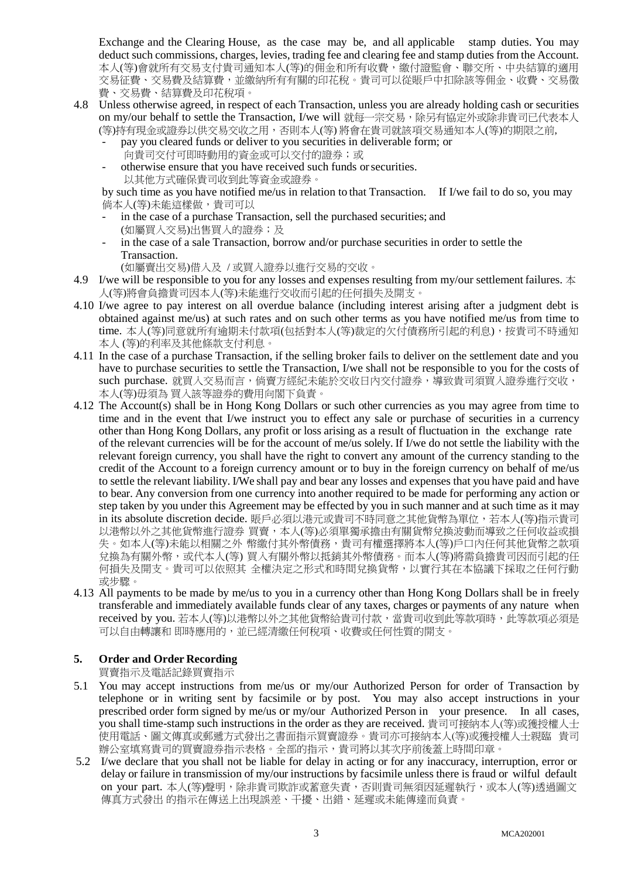Exchange and the Clearing House, as the case may be, and all applicable stamp duties. You may deduct such commissions, charges, levies, trading fee and clearing fee and stamp duties from the Account. 本人(等)會就所有交易支付貴司通知本人(等)的佣金和所有收費,繳付證監會、聯交所、中央結算的適用 交易征費、交易費及結算費,並繳納所有有關的印花稅。貴司可以從賬戶中扣除該等佣金、收費、交易徵 費、交易費、結算費及印花稅項。

- 4.8 Unless otherwise agreed, in respect of each Transaction, unless you are already holding cash or securities on my/our behalf to settle the Transaction, I/we will 就每一宗交易,除另有協定外或除非貴司已代表本人 (等)持有現金或證券以供交易交收之用,否則本人(等) 將會在貴司就該項交易通知本人(等)的期限之前,
	- pay you cleared funds or deliver to you securities in deliverable form; or 向貴司交付可即時動用的資金或可以交付的證券;或
	- otherwise ensure that you have received such funds or securities. 以其他方式確保貴司收到此等資金或證券。

by such time as you have notified me/us in relation to that Transaction. If I/we fail to do so, you may 倘本人(等)未能這樣做,貴司可以

- in the case of a purchase Transaction, sell the purchased securities; and (如屬買入交易)出售買入的證券;及
- in the case of a sale Transaction, borrow and/or purchase securities in order to settle the Transaction.
	- (如屬賣出交易)借入及 / 或買入證券以進行交易的交收。
- 4.9 I/we will be responsible to you for any losses and expenses resulting from my/our settlement failures.  $\pm$ 人(等)將會負擔貴司因本人(等)未能進行交收而引起的任何損失及開支。
- 4.10 I/we agree to pay interest on all overdue balance (including interest arising after a judgment debt is obtained against me/us) at such rates and on such other terms as you have notified me/us from time to time. 本人(等)同意就所有逾期未付款項(包括對本人(等)裁定的欠付債務所引起的利息),按貴司不時通知 本人 (等)的利率及其他條款支付利息。
- 4.11 In the case of a purchase Transaction, if the selling broker fails to deliver on the settlement date and you have to purchase securities to settle the Transaction, I/we shall not be responsible to you for the costs of such purchase. 就買入交易而言,倘賣方經紀未能於交收日內交付證券, 導致貴司須買入證券進行交收, 本人(等)毋須為 買入該等證券的費用向閣下負責。
- 4.12 The Account(s) shall be in Hong Kong Dollars or such other currencies as you may agree from time to time and in the event that I/we instruct you to effect any sale or purchase of securities in a currency other than Hong Kong Dollars, any profit or loss arising as a result of fluctuation in the exchange rate of the relevant currencies will be for the account of me/us solely. If I/we do not settle the liability with the relevant foreign currency, you shall have the right to convert any amount of the currency standing to the credit of the Account to a foreign currency amount or to buy in the foreign currency on behalf of me/us to settle the relevant liability. I/We shall pay and bear any losses and expenses that you have paid and have to bear. Any conversion from one currency into another required to be made for performing any action or step taken by you under this Agreement may be effected by you in such manner and at such time as it may in its absolute discretion decide. 賬戶必須以港元或貴司不時同意之其他貨幣為單位,若本人(等)指示貴司 以港幣以外之其他貨幣進行證券 買賣,本人(等)必須單獨承擔由有關貨幣兌換波動而導致之任何收益或損 失。如本人(等)未能以相關之外 幣繳付其外幣債務,貴司有權選擇將本人(等)戶口內任何其他貨幣之款項 兌換為有關外幣,或代本人(等) 買入有關外幣以抵銷其外幣債務。而本人(等)將需負擔貴司因而引起的任 何損失及開支。貴司可以依照其 全權決定之形式和時間兌換貨幣,以實行其在本協議下採取之任何行動 或步驟。
- 4.13 All payments to be made by me/us to you in a currency other than Hong Kong Dollars shall be in freely transferable and immediately available funds clear of any taxes, charges or payments of any nature when received by you. 若本人(等)以港幣以外之其他貨幣給貴司付款,當貴司收到此等款項時, 此等款項必須是 可以自由轉讓和 即時應用的,並已經清繳任何稅項、收費或任何性質的開支。

# **5. Order and Order Recording**

買賣指示及電話記錄買賣指示

- 5.1 You may accept instructions from me/us or my/our Authorized Person for order of Transaction by telephone or in writing sent by facsimile or by post. You may also accept instructions in your prescribed order form signed by me/us or my/our Authorized Person in your presence. In all cases, you shall time-stamp such instructions in the order as they are received. 貴司可接納本人(等)或獲授權人士 使用電話、圖文傳真或郵遞方式發出之書面指示買賣證券。貴司亦可接納本人(等)或獲授權人士親臨 貴司 辦公室填寫貴司的買賣證券指示表格。全部的指示,貴司將以其次序前後蓋上時間印章。
- 5.2 I/we declare that you shall not be liable for delay in acting or for any inaccuracy, interruption, error or delay or failure in transmission of my/our instructions by facsimile unless there is fraud or wilful default on your part. 本人(等)聲明,除非貴司欺詐或蓄意失責,否則貴司無須因延遲執行,或本人(等)透過圖文 傳真方式發出 的指示在傳送上出現誤差、干擾、出錯、延遲或未能傳達而負責。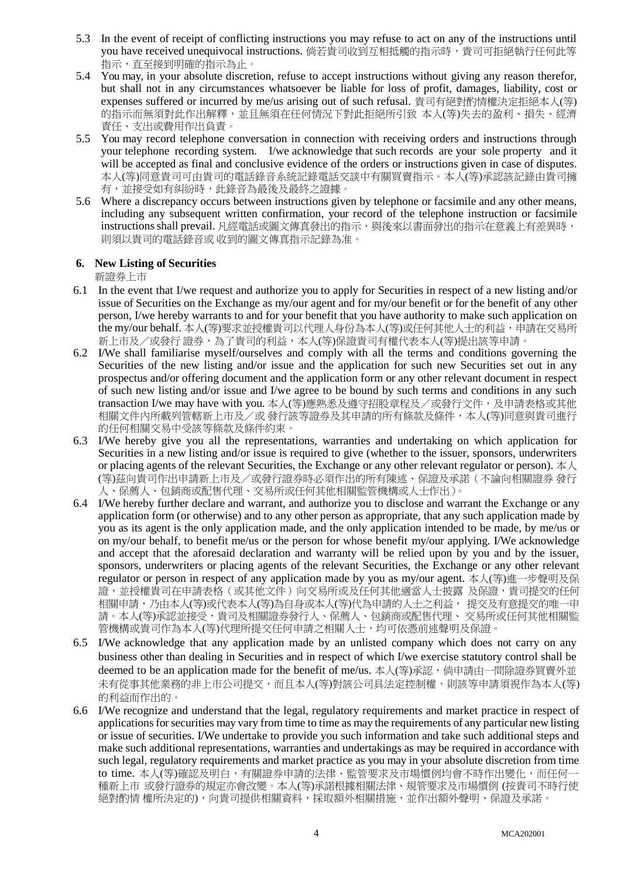- 5.3 In the event of receipt of conflicting instructions you may refuse to act on any of the instructions until you have received unequivocal instructions. 倘若貴司收到互相抵觸的指示時,貴司可拒絕執行任何此等 指示,直至接到明確的指示為止。
- 5.4 You may, in your absolute discretion, refuse to accept instructions without giving any reason therefor, but shall not in any circumstances whatsoever be liable for loss of profit, damages, liability, cost or expenses suffered or incurred by me/us arising out of such refusal. 貴司有絕對酌情權決定拒絕本人(等) 的指示而無須對此作出解釋,並且無須在任何情況下對此拒絕所引致 本人(等)失去的盈利、損失、經濟 責任、支出或費用作出負責。
- 5.5 You may record telephone conversation in connection with receiving orders and instructions through your telephone recording system. I/we acknowledge that such records are your sole property and it will be accepted as final and conclusive evidence of the orders or instructions given in case of disputes. 本人(等)同意貴司可由貴司的電話錄音系統記錄電話交談中有關買賣指示。本人(等)承認該記錄由貴司擁 有,並接受如有糾紛時,此錄音為最後及最終之證據。
- 5.6 Where a discrepancy occurs between instructions given by telephone or facsimile and any other means, including any subsequent written confirmation, your record of the telephone instruction or facsimile instructions shall prevail. 凡經電話或圖文傳真發出的指示,與後來以書面發出的指示在意義上有差異時, 則須以貴司的電話錄音或 收到的圖文傳真指示記錄為准。

## **6. New Listing of Securities**

新證券上市

- 6.1 In the event that I/we request and authorize you to apply for Securities in respect of a new listing and/or issue of Securities on the Exchange as my/our agent and for my/our benefit or for the benefit of any other person, I/we hereby warrants to and for your benefit that you have authority to make such application on the my/our behalf. 本人(等)要求並授權貴司以代理人身份為本人(等)或任何其他人士的利益,申請在交易所 新上市及/或發行證券,為了貴司的利益,本人(等)保證貴司有權代表本人(等)提出該等申請。
- 6.2 I/We shall familiarise myself/ourselves and comply with all the terms and conditions governing the Securities of the new listing and/or issue and the application for such new Securities set out in any prospectus and/or offering document and the application form or any other relevant document in respect of such new listing and/or issue and I/we agree to be bound by such terms and conditions in any such transaction I/we may have with you. 本人(等)應熟悉及遵守招股章程及/或發行文件,及申請表格或其他 相關文件內所載列管轄新上市及/或 發行該等證券及其申請的所有條款及條件,本人(等)同意與貴司進行 的任何相關交易中受該等條款及條件約束。
- 6.3 I/We hereby give you all the representations, warranties and undertaking on which application for Securities in a new listing and/or issue is required to give (whether to the issuer, sponsors, underwriters or placing agents of the relevant Securities, the Exchange or any other relevant regulator or person).  $\pm \lambda$ (等)茲向貴司作出申請新上市及/或發行證券時必須作出的所有陳述、保證及承諾(不論向相關證券 發行 人、保薦人、包銷商或配售代理、交易所或任何其他相關監管機構或人士作出)。
- 6.4 I/We hereby further declare and warrant, and authorize you to disclose and warrant the Exchange or any application form (or otherwise) and to any other person as appropriate, that any such application made by you as its agent is the only application made, and the only application intended to be made, by me/us or on my/our behalf, to benefit me/us or the person for whose benefit my/our applying. I/We acknowledge and accept that the aforesaid declaration and warranty will be relied upon by you and by the issuer, sponsors, underwriters or placing agents of the relevant Securities, the Exchange or any other relevant regulator or person in respect of any application made by you as my/our agent. 本人(等)進一步聲明及保 證,並授權貴司在申請表格(或其他文件)向交易所或及任何其他適當人士披露 及保證,貴司提交的任何 相關申請,乃由本人(等)或代表本人(等)為自身或本人(等)代為申請的人士之利益, 提交及有意提交的唯一申 請。本人(等)承認並接受,貴司及相關證券發行人、保薦人、包銷商或配售代理、 交易所或任何其他相關監 管機構或貴司作為本人(等)代理所提交任何申請之相關人士,均可依憑前述聲明及保證。
- 6.5 I/We acknowledge that any application made by an unlisted company which does not carry on any business other than dealing in Securities and in respect of which I/we exercise statutory control shall be deemed to be an application made for the benefit of me/us. 本人(等)承認, 倘申請由一間除證券買賣外並 未有從事其他業務的非上市公司提交,而且本人(等)對該公司具法定控制權,則該等申請須視作為本人(等) 的利益而作出的。
- 6.6 I/We recognize and understand that the legal, regulatory requirements and market practice in respect of applications for securities may vary from time to time as may the requirements of any particular new listing or issue of securities. I/We undertake to provide you such information and take such additional steps and make such additional representations, warranties and undertakings as may be required in accordance with such legal, regulatory requirements and market practice as you may in your absolute discretion from time to time. 本人(等)確認及明白,有關證券申請的法律、監管要求及市場慣例均會不時作出變化,而任何一 種新上市 或發行證券的規定亦會改變。本人(等)承諾根據相關法律、規管要求及市場慣例 (按貴司不時行使 絕對酌情 權所決定的),向貴司提供相關資料,採取額外相關措施,並作出額外聲明、保證及承諾。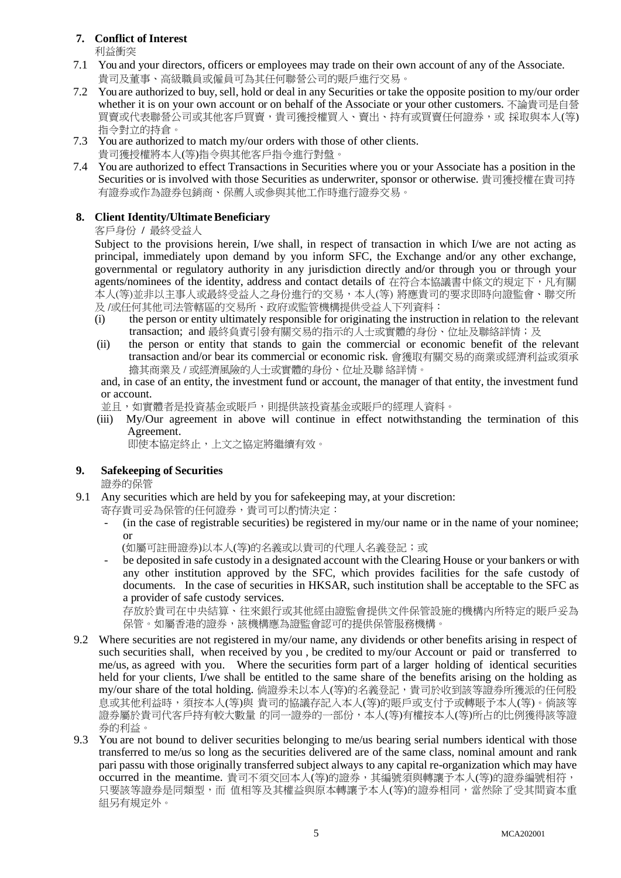# **7. Conflict of Interest**

利益衝突

- 7.1 You and your directors, officers or employees may trade on their own account of any of the Associate. 貴司及董事、高級職員或僱員可為其任何聯營公司的賬戶進行交易。
- 7.2 You are authorized to buy, sell, hold or deal in any Securities or take the opposite position to my/our order whether it is on your own account or on behalf of the Associate or your other customers. 不論貴司是自營 買賣或代表聯營公司或其他客戶買賣,貴司獲授權買入、賣出、持有或買賣任何證券,或 採取與本人(等) 指令對立的持倉。
- 7.3 You are authorized to match my/our orders with those of other clients.
- 貴司獲授權將本人(等)指令與其他客戶指令進行對盤。
- 7.4 You are authorized to effect Transactions in Securities where you or your Associate has a position in the Securities or is involved with those Securities as underwriter, sponsor or otherwise. 貴司獲授權在貴司持 有證券或作為證券包銷商、保薦人或參與其他工作時進行證券交易。

# 8. Client Identity/Ultimate Beneficiary

客戶身份 **/** 最終受益人

Subject to the provisions herein, I/we shall, in respect of transaction in which I/we are not acting as principal, immediately upon demand by you inform SFC, the Exchange and/or any other exchange, governmental or regulatory authority in any jurisdiction directly and/or through you or through your agents/nominees of the identity, address and contact details of 在符合本協議書中條文的規定下,凡有關 本人(等)並非以主事人或最終受益人之身份進行的交易,本人(等) 將應貴司的要求即時向證監會、聯交所 及 /或任何其他司法管轄區的交易所、政府或監管機構提供受益人下列資料:

- (i) the person or entity ultimately responsible for originating the instruction in relation to the relevant transaction; and 最終負責引發有關交易的指示的人士或實體的身份、位址及聯絡詳情;及
- (ii) the person or entity that stands to gain the commercial or economic benefit of the relevant transaction and/or bear its commercial or economic risk. 會獲取有關交易的商業或經濟利益或須承 擔其商業及 / 或經濟風險的人士或實體的身份、位址及聯 絡詳情。

and, in case of an entity, the investment fund or account, the manager of that entity, the investment fund or account.

並且,如實體者是投資基金或賬戶,則提供該投資基金或賬戶的經理人資料。

(iii) My/Our agreement in above will continue in effect notwithstanding the termination of this Agreement.

即使本協定終止,上文之協定將繼續有效。

# **9. Safekeeping of Securities**

證券的保管

- 9.1 Any securities which are held by you for safekeeping may, at your discretion:
	- 寄存貴司妥為保管的任何證券,貴司可以酌情決定:
		- (in the case of registrable securities) be registered in my/our name or in the name of your nominee; or
			- (如屬可註冊證券)以本人(等)的名義或以貴司的代理人名義登記;或
		- be deposited in safe custody in a designated account with the Clearing House or your bankers or with any other institution approved by the SFC, which provides facilities for the safe custody of documents. In the case of securities in HKSAR, such institution shall be acceptable to the SFC as a provider of safe custody services.

存放於貴司在中央結算、往來銀行或其他經由證監會提供文件保管設施的機構內所特定的賬戶妥為 保管。如屬香港的證券,該機構應為證監會認可的提供保管服務機構。

- 9.2 Where securities are not registered in my/our name, any dividends or other benefits arising in respect of such securities shall, when received by you , be credited to my/our Account or paid or transferred to me/us, as agreed with you. Where the securities form part of a larger holding of identical securities held for your clients, I/we shall be entitled to the same share of the benefits arising on the holding as my/our share of the total holding. 倘證券未以本人(等)的名義登記, 貴司於收到該等證券所獲派的任何股 息或其他利益時,須按本人(等)與 貴司的協議存記入本人(等)的賬戶或支付予或轉賬予本人(等)。倘該等 證券屬於貴司代客戶持有較大數量 的同一證券的一部份,本人(等)有權按本人(等)所占的比例獲得該等證 券的利益。
- 9.3 You are not bound to deliver securities belonging to me/us bearing serial numbers identical with those transferred to me/us so long as the securities delivered are of the same class, nominal amount and rank pari passu with those originally transferred subject always to any capital re-organization which may have occurred in the meantime. 貴司不須交回本人(等)的證券,其編號須與轉讓予本人(等)的證券編號相符, 只要該等證券是同類型,而 值相等及其權益與原本轉讓予本人(等)的證券相同,當然除了受其間資本重 組另有規定外。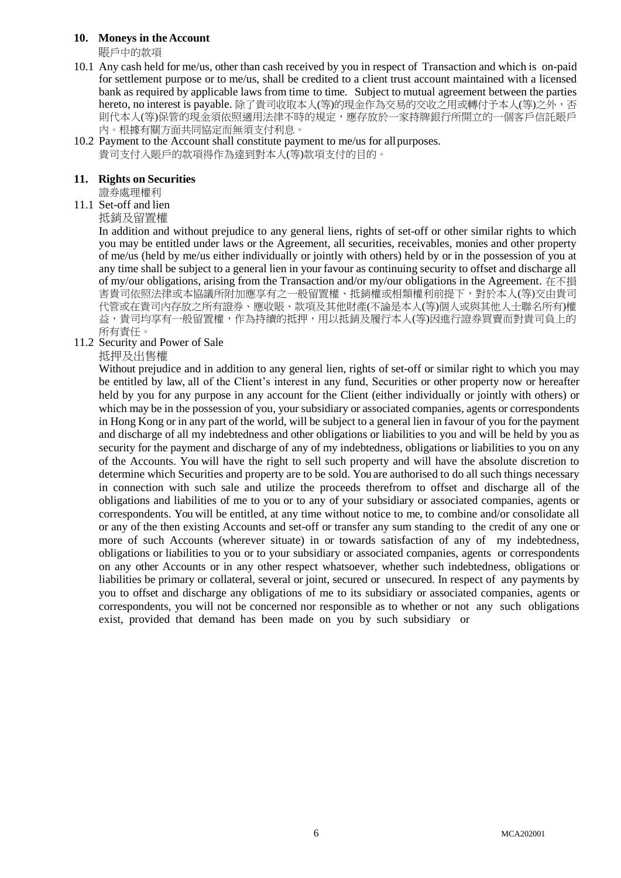## **10. Moneys in the Account**

賬戶中的款項

- 10.1 Any cash held for me/us, other than cash received by you in respect of Transaction and which is on-paid for settlement purpose or to me/us, shall be credited to a client trust account maintained with a licensed bank as required by applicable laws from time to time. Subject to mutual agreement between the parties hereto, no interest is payable. 除了貴司收取本人(等)的現金作為交易的交收之用或轉付予本人(等)之外, 否 則代本人(等)保管的現金須依照適用法律不時的規定,應存放於一家持牌銀行所開立的一個客戶信託賬戶 內。根據有關方面共同協定而無須支付利息。
- 10.2 Payment to the Account shall constitute payment to me/us for allpurposes. 貴司支付入賬戶的款項得作為達到對本人(等)款項支付的目的。

#### **11. Rights on Securities**

證券處理權利

11.1 Set-off and lien

抵銷及留置權

In addition and without prejudice to any general liens, rights of set-off or other similar rights to which you may be entitled under laws or the Agreement, all securities, receivables, monies and other property of me/us (held by me/us either individually or jointly with others) held by or in the possession of you at any time shall be subject to a general lien in your favour as continuing security to offset and discharge all of my/our obligations, arising from the Transaction and/or my/our obligations in the Agreement. 在不損 害貴司依照法律或本協議所附加應享有之一般留置權、抵銷權或相類權利前提下,對於本人(等)交由貴司 代管或在貴司內存放之所有證券、應收賬、款項及其他財產(不論是本人(等)個人或與其他人士聯名所有)權 益,貴司均享有一般留置權,作為持續的抵押,用以抵銷及履行本人(等)因進行證券買賣而對貴司負上的 所有責任。

## 11.2 Security and Power of Sale

抵押及出售權

Without prejudice and in addition to any general lien, rights of set-off or similar right to which you may be entitled by law, all of the Client's interest in any fund, Securities or other property now or hereafter held by you for any purpose in any account for the Client (either individually or jointly with others) or which may be in the possession of you, your subsidiary or associated companies, agents or correspondents in Hong Kong or in any part of the world, will be subject to a general lien in favour of you for the payment and discharge of all my indebtedness and other obligations or liabilities to you and will be held by you as security for the payment and discharge of any of my indebtedness, obligations or liabilities to you on any of the Accounts. You will have the right to sell such property and will have the absolute discretion to determine which Securities and property are to be sold. You are authorised to do all such things necessary in connection with such sale and utilize the proceeds therefrom to offset and discharge all of the obligations and liabilities of me to you or to any of your subsidiary or associated companies, agents or correspondents. You will be entitled, at any time without notice to me, to combine and/or consolidate all or any of the then existing Accounts and set-off or transfer any sum standing to the credit of any one or more of such Accounts (wherever situate) in or towards satisfaction of any of my indebtedness, obligations or liabilities to you or to your subsidiary or associated companies, agents or correspondents on any other Accounts or in any other respect whatsoever, whether such indebtedness, obligations or liabilities be primary or collateral, several or joint, secured or unsecured. In respect of any payments by you to offset and discharge any obligations of me to its subsidiary or associated companies, agents or correspondents, you will not be concerned nor responsible as to whether or not any such obligations exist, provided that demand has been made on you by such subsidiary or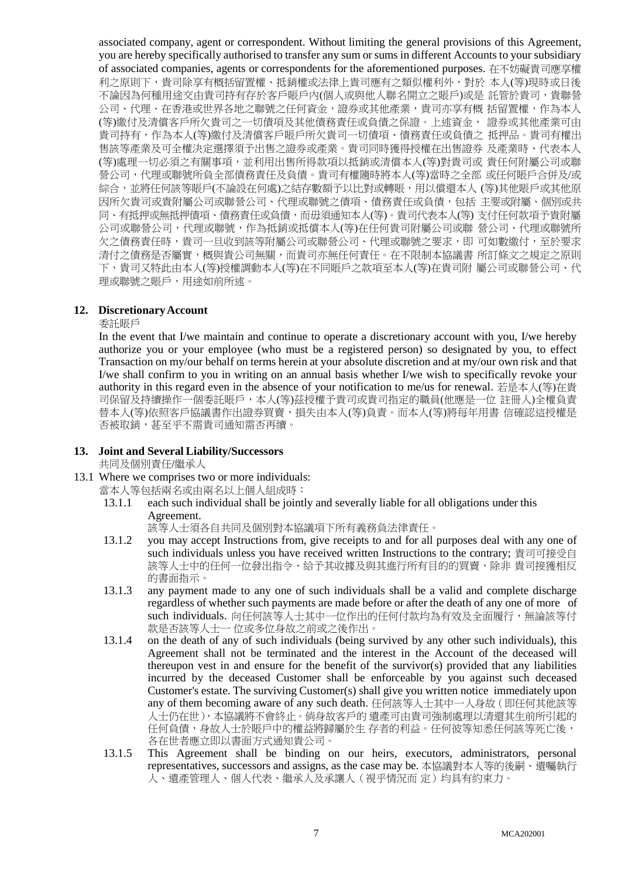associated company, agent or correspondent. Without limiting the general provisions of this Agreement, you are hereby specifically authorised to transfer any sum or sums in different Accounts to your subsidiary of associated companies, agents or correspondents for the aforementioned purposes. 在不妨礙貴司應享權 利之原則下,貴司除享有概括留置權、抵銷權或法律上貴司應有之類似權利外,對於 本人(等)現時或日後 不論因為何種用途交由貴司持有存於客戶賬戶內(個人或與他人聯名開立之賬戶)或是 託管於貴司,貴聯營 公司、代理、在香港或世界各地之聯號之任何資金,證券或其他產業,貴司亦享有概 括留置權,作為本人 (等)繳付及清償客戶所欠貴司之一切債項及其他債務責任或負債之保證。上述資金, 證券或其他產業可由 貴司持有,作為本人(等)繳付及清償客戶賬戶所欠貴司一切債項、債務責任或負債之 抵押品。貴司有權出 售該等產業及可全權決定選擇須予出售之證券或產業。貴司同時獲得授權在出售證券 及產業時、代表本人 (等)處理一切必須之有關事項,並利用出售所得款項以抵銷或清償本人(等)對貴司或 貴任何附屬公司或聯 營公司,代理或聯號所負全部債務責任及負債。貴司有權隨時將本人(等)當時之全部 或任何賬戶合併及/或 綜合,並將任何該等賬戶(不論設在何處)之結存數額予以比對或轉賬,用以償還本人 (等)其他賬戶或其他原 因所欠貴司或貴附屬公司或聯營公司、代理或聯號之債項、債務責任或負債,包括 主要或附屬、個別或共 同、有抵押或無抵押債項、債務責任或負債,而毋須通知本人(等)。貴司代表本人(等) 支付任何款項予貴附屬 公司或聯營公司,代理或聯號,作為抵銷或抵償本人(等)在任何貴司附屬公司或聯 營公司、代理或聯號所 欠之債務責任時,貴司一旦收到該等附屬公司或聯營公司、代理或聯號之要求,即 可如數繳付,至於要求 清付之債務是否屬實,概與貴公司無關,而貴司亦無任何責任。在不限制本協議書 所訂條文之規定之原則 下,貴司又特此由本人(等)授權調動本人(等)在不同賬戶之款項至本人(等)在貴司附 屬公司或聯營公司、代 理或聯號之賬戶,用途如前所述。

## **12. DiscretionaryAccount**

委託賬戶

In the event that I/we maintain and continue to operate a discretionary account with you, I/we hereby authorize you or your employee (who must be a registered person) so designated by you, to effect Transaction on my/our behalf on terms herein at your absolute discretion and at my/our own risk and that I/we shall confirm to you in writing on an annual basis whether I/we wish to specifically revoke your authority in this regard even in the absence of your notification to me/us for renewal. 若是本人(等)在貴 司保留及持續操作一個委託賬戶,本人(等)茲授權予貴司或貴司指定的職員(他應是一位 註冊人)全權負責 替本人(等)依照客戶協議書作出證券買賣,損失由本人(等)負責。而本人(等)將每年用書 信確認這授權是 否被取銷,甚至乎不需貴司通知需否再續。

#### **13. Joint and Several Liability/Successors**

共同及個別責任/繼承人

- 13.1 Where we comprises two or more individuals:
	- 當本人等包括兩名或由兩名以上個人組成時:
	- 13.1.1 each such individual shall be jointly and severally liable for all obligations under this Agreement.

該等人士須各自共同及個別對本協議項下所有義務負法律責任。

- 13.1.2 you may accept Instructions from, give receipts to and for all purposes deal with any one of such individuals unless you have received written Instructions to the contrary; 貴司可接受自 該等人士中的任何一位發出指令、給予其收據及與其進行所有目的的買賣,除非 貴司接獲相反 的書面指示。
- 13.1.3 any payment made to any one of such individuals shall be a valid and complete discharge regardless of whether such payments are made before or after the death of any one of more of such individuals. 向任何該等人士其中一位作出的任何付款均為有效及全面履行,無論該等付 款是否該等人士一 位或多位身故之前或之後作出。
- 13.1.4 on the death of any of such individuals (being survived by any other such individuals), this Agreement shall not be terminated and the interest in the Account of the deceased will thereupon vest in and ensure for the benefit of the survivor(s) provided that any liabilities incurred by the deceased Customer shall be enforceable by you against such deceased Customer's estate. The surviving Customer(s) shall give you written notice immediately upon any of them becoming aware of any such death. 任何該等人士其中一人身故(即任何其他該等 人士仍在世),本協議將不會終止。倘身故客戶的 遺產可由貴司強制處理以清還其生前所引起的 任何負債,身故人士於賬戶中的權益將歸屬於生 存者的利益。任何彼等知悉任何該等死亡後, 各在世者應立即以書面方式通知貴公司。
- 13.1.5 This Agreement shall be binding on our heirs, executors, administrators, personal representatives, successors and assigns, as the case may be. 本協議對本人等的後嗣、遺囑執行 人、遺產管理人、個人代表、繼承人及承讓人(視乎情況而 定)均具有約束力。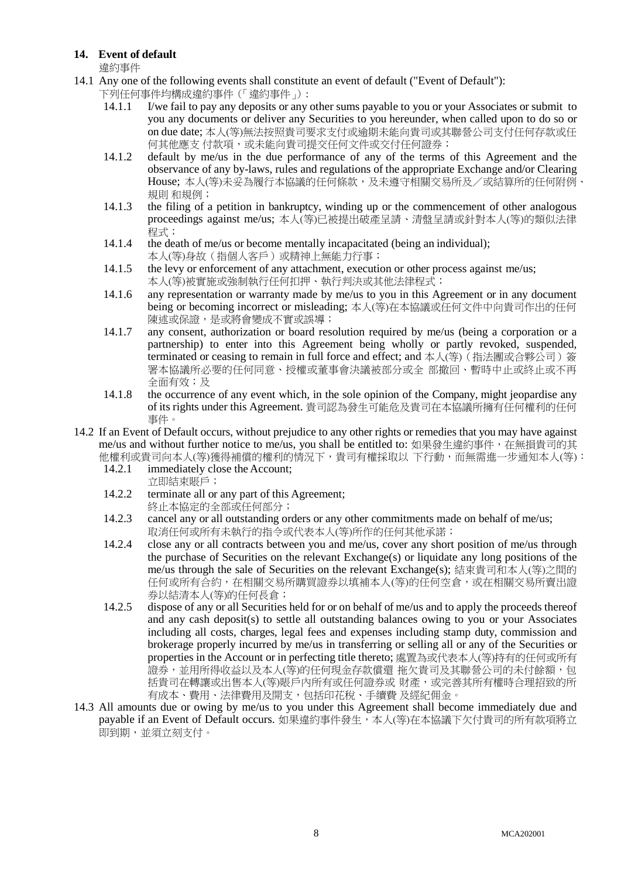## **14. Event of default**

違約事件

- 14.1 Any one of the following events shall constitute an event of default ("Event of Default"):
	- 下列任何事件均構成違約事件(「違約事件」):<br>14.1.1 I/we fail to pay any deposits or any
		- I/we fail to pay any deposits or any other sums payable to you or your Associates or submit to you any documents or deliver any Securities to you hereunder, when called upon to do so or on due date; 本人(等)無法按照貴司要求支付或逾期未能向貴司或其聯營公司支付任何存款或任 何其他應支 付款項,或未能向貴司提交任何文件或交付任何證券;
	- 14.1.2 default by me/us in the due performance of any of the terms of this Agreement and the observance of any by-laws, rules and regulations of the appropriate Exchange and/or Clearing House; 本人(等)未妥為履行本協議的任何條款,及未遵守相關交易所及/或結算所的任何附例、 規則 和規例;
	- 14.1.3 the filing of a petition in bankruptcy, winding up or the commencement of other analogous proceedings against me/us; 本人(等)已被提出破產呈請、清盤呈請或針對本人(等)的類似法律 程式;
	- 14.1.4 the death of me/us or become mentally incapacitated (being an individual); 本人(等)身故(指個人客戶)或精神上無能力行事;
	- 14.1.5 the levy or enforcement of any attachment, execution or other process against me/us; 本人(等)被實施或強制執行任何扣押、執行判決或其他法律程式;
	- 14.1.6 any representation or warranty made by me/us to you in this Agreement or in any document being or becoming incorrect or misleading; 本人(等)在本協議或任何文件中向貴司作出的任何 陳述或保證,是或將會變成不實或誤導;
	- 14.1.7 any consent, authorization or board resolution required by me/us (being a corporation or a partnership) to enter into this Agreement being wholly or partly revoked, suspended, terminated or ceasing to remain in full force and effect; and 本人(等) ( 指法團或合夥公司) 簽 署本協議所必要的任何同意、授權或董事會決議被部分或全 部撤回、暫時中止或終止或不再 全面有效;及
	- 14.1.8 the occurrence of any event which, in the sole opinion of the Company, might jeopardise any of its rights under this Agreement. 貴司認為發生可能危及貴司在本協議所擁有任何權利的任何 事件。
- 14.2 If an Event of Default occurs, without prejudice to any other rights or remedies that you may have against me/us and without further notice to me/us, you shall be entitled to: 如果發生違約事件,在無損貴司的其
	- 他權利或貴司向本人(等)獲得補償的權利的情況下,貴司有權採取以 下行動,而無需進一步通知本人(等):<br>14.2.1 immediately close the Account; immediately close the Account;
		- 立即結束賬戶;
	- 14.2.2 terminate all or any part of this Agreement; 終止本協定的全部或任何部分;
	- 14.2.3 cancel any or all outstanding orders or any other commitments made on behalf of me/us; 取消任何或所有未執行的指令或代表本人(等)所作的任何其他承諾;
	- 14.2.4 close any or all contracts between you and me/us, cover any short position of me/us through the purchase of Securities on the relevant Exchange(s) or liquidate any long positions of the me/us through the sale of Securities on the relevant Exchange(s); 結束貴司和本人(等)之間的 任何或所有合約,在相關交易所購買證券以填補本人(等)的任何空倉,或在相關交易所賣出證 券以結清本人(等)的任何長倉;
	- 14.2.5 dispose of any or all Securities held for or on behalf of me/us and to apply the proceeds thereof and any cash deposit(s) to settle all outstanding balances owing to you or your Associates including all costs, charges, legal fees and expenses including stamp duty, commission and brokerage properly incurred by me/us in transferring or selling all or any of the Securities or properties in the Account or in perfecting title thereto; 處置為或代表本人(等)持有的任何或所有 證券,並用所得收益以及本人(等)的任何現金存款償還 拖欠貴司及其聯營公司的未付餘額,包 括貴司在轉讓或出售本人(等)賬戶內所有或任何證券或 財產,或完善其所有權時合理招致的所 有成本、費用、法律費用及開支,包括印花稅、手續費 及經紀佣金。
- 14.3 All amounts due or owing by me/us to you under this Agreement shall become immediately due and pavable if an Event of Default occurs. 如果違約事件發生,本人(等)在本協議下欠付貴司的所有款項將立 即到期,並須立刻支付。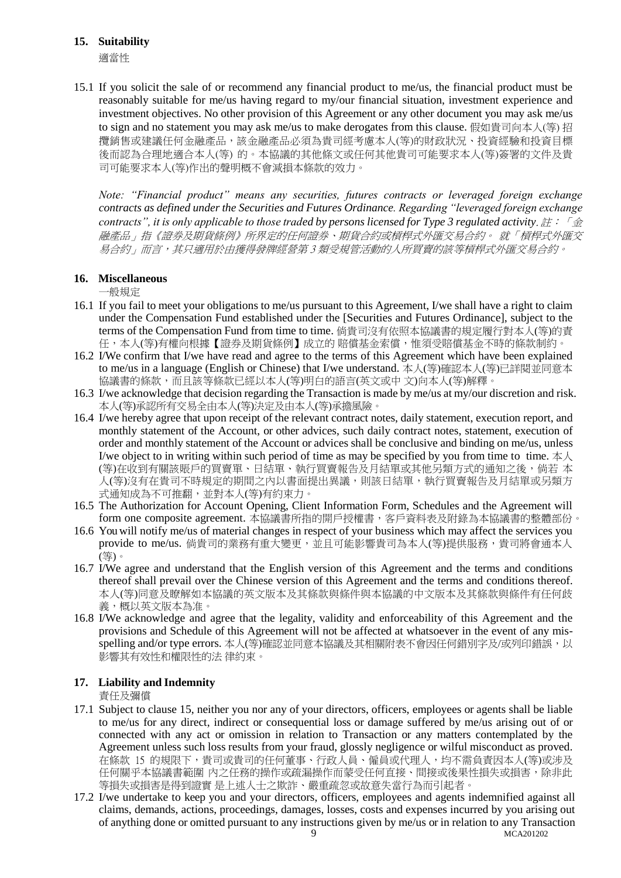## **15. Suitability**

適當性

15.1 If you solicit the sale of or recommend any financial product to me/us, the financial product must be reasonably suitable for me/us having regard to my/our financial situation, investment experience and investment objectives. No other provision of this Agreement or any other document you may ask me/us to sign and no statement you may ask me/us to make derogates from this clause. 假如貴司向本人(等) 招 攬銷售或建議任何金融產品,該金融產品必須為貴司經考慮本人(等)的財政狀況、投資經驗和投資目標 後而認為合理地適合本人(等) 的。本協議的其他條文或任何其他貴司可能要求本人(等)簽署的文件及貴 司可能要求本人(等)作出的聲明概不會減損本條款的效力。

*Note: "Financial product" means any securities, futures contracts or leveraged foreign exchange contracts as defined under the Securities and Futures Ordinance. Regarding "leveraged foreign exchange contracts", it is only applicable to those traded by persons licensed for Type 3 regulated activity*. 註:「金 融產品」指《證券及期貨條例》所界定的任何證券、期貨合約或槓桿式外匯交易合約。 就「槓桿式外匯交 易合約」而言,其只適用於由獲得發牌經營第 3 類受規管活動的人所買賣的該等槓桿式外匯交易合約。

## **16. Miscellaneous**

一般規定

- 16.1 If you fail to meet your obligations to me/us pursuant to this Agreement, I/we shall have a right to claim under the Compensation Fund established under the [Securities and Futures Ordinance], subject to the terms of the Compensation Fund from time to time. 倘貴司沒有依照本協議書的規定履行對本人(等)的責 任,本人(等)有權向根據【證券及期貨條例】成立的 賠償基金索償,惟須受賠償基金不時的條款制約。
- 16.2 I/We confirm that I/we have read and agree to the terms of this Agreement which have been explained to me/us in a language (English or Chinese) that I/we understand. 本人(等)確認本人(等)已詳閱並同意本 協議書的條款,而且該等條款已經以本人(等)明白的語言(英文或中 文)向本人(等)解釋。
- 16.3 I/we acknowledge that decision regarding the Transaction is made by me/us at my/our discretion and risk. 本人(等)承認所有交易全由本人(等)決定及由本人(等)承擔風險。
- 16.4 I/we hereby agree that upon receipt of the relevant contract notes, daily statement, execution report, and monthly statement of the Account, or other advices, such daily contract notes, statement, execution of order and monthly statement of the Account or advices shall be conclusive and binding on me/us, unless I/we object to in writing within such period of time as may be specified by you from time to time.  $\pm \lambda$ (等)在收到有關該賬戶的買賣單、日結單、執行買賣報告及月結單或其他另類方式的通知之後,倘若 本 人(等)沒有在貴司不時規定的期間之內以書面提出異議,則該日結單,執行買賣報告及月結單或另類方 式通知成為不可推翻,並對本人(等)有約束力。
- 16.5 The Authorization for Account Opening, Client Information Form, Schedules and the Agreement will form one composite agreement. 本協議書所指的開戶授權書,客戶資料表及附錄為本協議書的整體部份。
- 16.6 You will notify me/us of material changes in respect of your business which may affect the services you provide to me/us. 倘貴司的業務有重大變更,並且可能影響貴司為本人(等)提供服務,貴司將會通本人 (等)。
- 16.7 I/We agree and understand that the English version of this Agreement and the terms and conditions thereof shall prevail over the Chinese version of this Agreement and the terms and conditions thereof. 本人(等)同意及瞭解如本協議的英文版本及其條款與條件與本協議的中文版本及其條款與條件有任何歧 義,概以英文版本為准。
- 16.8 I/We acknowledge and agree that the legality, validity and enforceability of this Agreement and the provisions and Schedule of this Agreement will not be affected at whatsoever in the event of any misspelling and/or type errors. 本人(等)確認並同意本協議及其相關附表不會因任何錯別字及/或列印錯誤, 以 影響其有效性和權限性的法 律約束。

## **17. Liability and Indemnity**

責任及彌償

- 17.1 Subject to clause 15, neither you nor any of your directors, officers, employees or agents shall be liable to me/us for any direct, indirect or consequential loss or damage suffered by me/us arising out of or connected with any act or omission in relation to Transaction or any matters contemplated by the Agreement unless such loss results from your fraud, glossly negligence or wilful misconduct as proved. 在條款 15 的規限下,貴司或貴司的任何董事、行政人員、僱員或代理人,均不需負責因本人(等)或涉及 任何關乎本協議書範圍 內之任務的操作或疏漏操作而蒙受任何直接、間接或後果性損失或損害,除非此 等損失或損害是得到證實 是上述人士之欺詐、嚴重疏忽或故意失當行為而引起者。
- MCA201202 17.2 I/we undertake to keep you and your directors, officers, employees and agents indemnified against all claims, demands, actions, proceedings, damages, losses, costs and expenses incurred by you arising out of anything done or omitted pursuant to any instructions given by me/us or in relation to any Transaction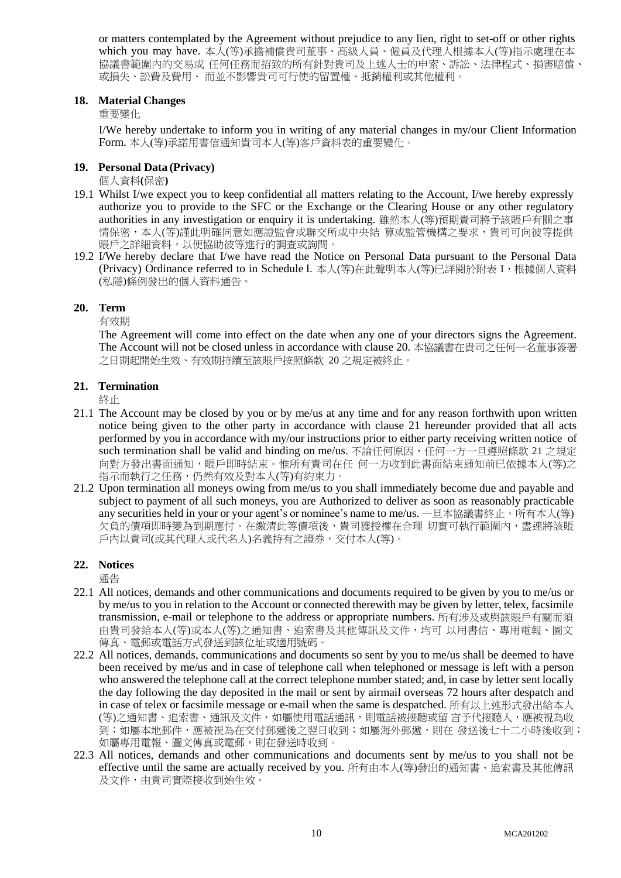or matters contemplated by the Agreement without prejudice to any lien, right to set-off or other rights which you may have. 本人(等)承擔補償貴司董事、高級人員、僱員及代理人根據本人(等)指示處理在本 協議書範圍內的交易或 任何任務而招致的所有針對貴司及上述人士的申索、訴訟、法律程式、損害賠償、 或損失、訟費及費用、 而並不影響貴司可行使的留置權、抵銷權利或其他權利。

#### **18. Material Changes**

重要變化

I/We hereby undertake to inform you in writing of any material changes in my/our Client Information Form. 本人(等)承諾用書信通知貴司本人(等)客戶資料表的重要變化。

## **19. Personal Data (Privacy)**

個人資料**(**保密**)**

- 19.1 Whilst I/we expect you to keep confidential all matters relating to the Account, I/we hereby expressly authorize you to provide to the SFC or the Exchange or the Clearing House or any other regulatory authorities in any investigation or enquiry it is undertaking. 雖然本人(等)預期貴司將予該賬戶有關之事 情保密,本人(等)謹此明確同意如應證監會或聯交所或中央結 算或監管機構之要求,貴司可向彼等提供 賬戶之詳細資料,以便協助彼等進行的調查或詢問。
- 19.2 I/We hereby declare that I/we have read the Notice on Personal Data pursuant to the Personal Data (Privacy) Ordinance referred to in Schedule I. 本人(等)在此聲明本人(等)已詳閱於附表 I, 根據個人資料 (私隱)條例發出的個人資料通告。

## **20. Term**

有效期

The Agreement will come into effect on the date when any one of your directors signs the Agreement. The Account will not be closed unless in accordance with clause 20. 本協議書在貴司之任何一名董事簽署 之日期起開始生效、有效期持續至該賬戶按照條款 20 之規定被終止。

## **21. Termination**

終止

- 21.1 The Account may be closed by you or by me/us at any time and for any reason forthwith upon written notice being given to the other party in accordance with clause 21 hereunder provided that all acts performed by you in accordance with my/our instructions prior to either party receiving written notice of such termination shall be valid and binding on me/us. 不論任何原因,任何一方一旦遵照條款 21 之規定 向對方發出書面通知,賬戶即時結束。惟所有貴司在任 何一方收到此書面結束通知前已依據本人(等)之 指示而執行之任務,仍然有效及對本人(等)有約束力。
- 21.2 Upon termination all moneys owing from me/us to you shall immediately become due and payable and subject to payment of all such moneys, you are Authorized to deliver as soon as reasonably practicable any securities held in your or your agent's or nominee's name to me/us. 一旦本協議書終止, 所有本人(等) 欠負的債項即時變為到期應付。在繳清此等債項後,貴司獲授權在合理 切實可執行範圍內,盡速將該賬 戶內以貴司(或其代理人或代名人)名義持有之證券,交付本人(等)。

## **22. Notices**

通告

- 22.1 All notices, demands and other communications and documents required to be given by you to me/us or by me/us to you in relation to the Account or connected therewith may be given by letter, telex, facsimile transmission, e-mail or telephone to the address or appropriate numbers. 所有涉及或與該賬戶有關而須 由貴司發給本人(等)或本人(等)之通知書、追索書及其他傳訊及文件,均可 以用書信、專用電報、圖文 傳真、電郵或電話方式發送到該位址或適用號碼。
- 22.2 All notices, demands, communications and documents so sent by you to me/us shall be deemed to have been received by me/us and in case of telephone call when telephoned or message is left with a person who answered the telephone call at the correct telephone number stated; and, in case by letter sent locally the day following the day deposited in the mail or sent by airmail overseas 72 hours after despatch and in case of telex or facsimile message or e-mail when the same is despatched. 所有以上述形式發出給本人 (等)之通知書、追索書、通訊及文件,如屬使用電話通訊,則電話被接聽或留 言予代接聽人,應被視為收 到;如屬本地郵件,應被視為在交付郵遞後之翌日收到;如屬海外郵遞,則在 發送後七十二小時後收到; 如屬專用電報、圖文傳真或電郵,則在發送時收到。
- 22.3 All notices, demands and other communications and documents sent by me/us to you shall not be effective until the same are actually received by you. 所有由本人(等)發出的通知書、追索書及其他傳訊 及文件,由貴司實際接收到始生效。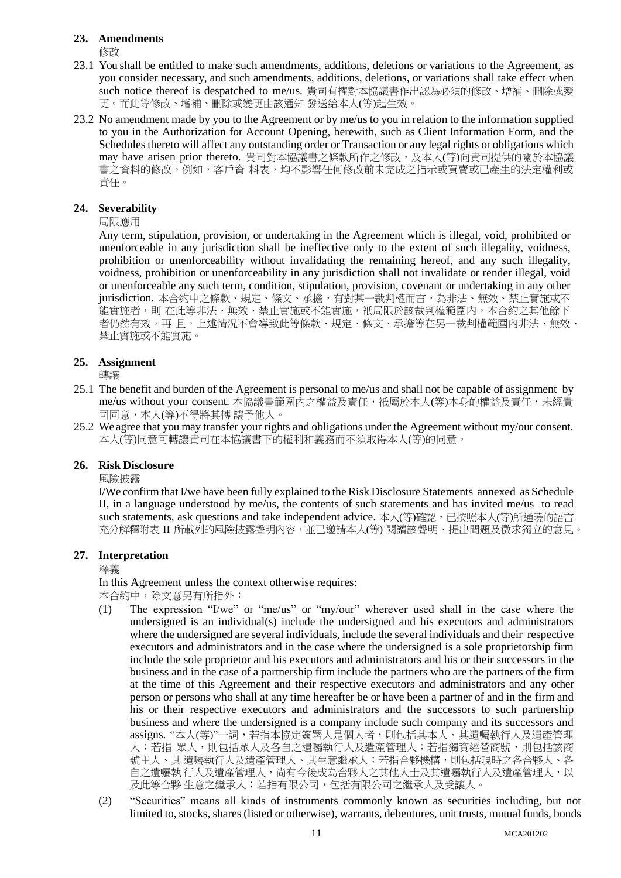#### **23. Amendments**

修改

- 23.1 You shall be entitled to make such amendments, additions, deletions or variations to the Agreement, as you consider necessary, and such amendments, additions, deletions, or variations shall take effect when such notice thereof is despatched to me/us. 貴司有權對本協議書作出認為必須的修改、增補、刪除或變 更。而此等修改、增補、刪除或變更由該通知 發送給本人(等)起生效。
- 23.2 No amendment made by you to the Agreement or by me/us to you in relation to the information supplied to you in the Authorization for Account Opening, herewith, such as Client Information Form, and the Schedules thereto will affect any outstanding order or Transaction or any legal rights or obligations which may have arisen prior thereto. 貴司對本協議書之條款所作之修改,及本人(等)向貴司提供的關於本協議 書之資料的修改,例如,客戶資 料表,均不影響任何修改前未完成之指示或買賣或已產生的法定權利或 責任。

## **24. Severability**

局限應用

Any term, stipulation, provision, or undertaking in the Agreement which is illegal, void, prohibited or unenforceable in any jurisdiction shall be ineffective only to the extent of such illegality, voidness, prohibition or unenforceability without invalidating the remaining hereof, and any such illegality, voidness, prohibition or unenforceability in any jurisdiction shall not invalidate or render illegal, void or unenforceable any such term, condition, stipulation, provision, covenant or undertaking in any other jurisdiction. 本合約中之條款、規定、條文、承擔,有對某一裁判權而言,為非法、無效、禁止實施或不 能實施者,則 在此等非法、無效、禁止實施或不能實施,祇局限於該裁判權範圍內,本合約之其他餘下 者仍然有效。再且,上述情況不會導致此等條款、規定、條文、承擔等在另一裁判權範圍內非法、無效、 禁止實施或不能實施。

## **25. Assignment**

轉讓

- 25.1 The benefit and burden of the Agreement is personal to me/us and shall not be capable of assignment by me/us without your consent. 本協議書範圍內之權益及責任, 衹屬於本人(等)本身的權益及責任, 未經貴 司同意,本人(等)不得將其轉 讓予他人。
- 25.2 We agree that you may transfer your rights and obligations under the Agreement without my/our consent. 本人(等)同意可轉讓貴司在本協議書下的權利和義務而不須取得本人(等)的同意。

#### **26. Risk Disclosure**

風險披露

I/We confirm that I/we have been fully explained to the Risk Disclosure Statements annexed as Schedule II, in a language understood by me/us, the contents of such statements and has invited me/us to read such statements, ask questions and take independent advice. 本人(等)確認, 已按照本人(等)所通曉的語言 充分解釋附表 II 所載列的風險披露聲明內容,並已邀請本人(等) 閱讀該聲明、提出問題及徵求獨立的意見。

#### **27. Interpretation**

釋義

In this Agreement unless the context otherwise requires: 本合約中,除文意另有所指外:

- (1) The expression "I/we" or "me/us" or "my/our" wherever used shall in the case where the undersigned is an individual(s) include the undersigned and his executors and administrators where the undersigned are several individuals, include the several individuals and their respective executors and administrators and in the case where the undersigned is a sole proprietorship firm include the sole proprietor and his executors and administrators and his or their successors in the business and in the case of a partnership firm include the partners who are the partners of the firm at the time of this Agreement and their respective executors and administrators and any other person or persons who shall at any time hereafter be or have been a partner of and in the firm and his or their respective executors and administrators and the successors to such partnership business and where the undersigned is a company include such company and its successors and assigns. "本人(等)"一詞,若指本協定簽署人是個人者,則包括其本人、其遺囑執行人及遺產管理 人;若指 眾人,則包括眾人及各自之遺囑執行人及遺產管理人;若指獨資經營商號,則包括該商 號主人、其 遺囑執行人及遺產管理人、其生意繼承人; 若指合夥機構,則包括現時之各合夥人、各 自之遺囑執 行人及遺產管理人,尚有今後成為合夥人之其他人士及其遺囑執行人及遺產管理人,以 及此等合夥 生意之繼承人;若指有限公司,包括有限公司之繼承人及受讓人。
- (2) "Securities" means all kinds of instruments commonly known as securities including, but not limited to, stocks, shares (listed or otherwise), warrants, debentures, unit trusts, mutual funds, bonds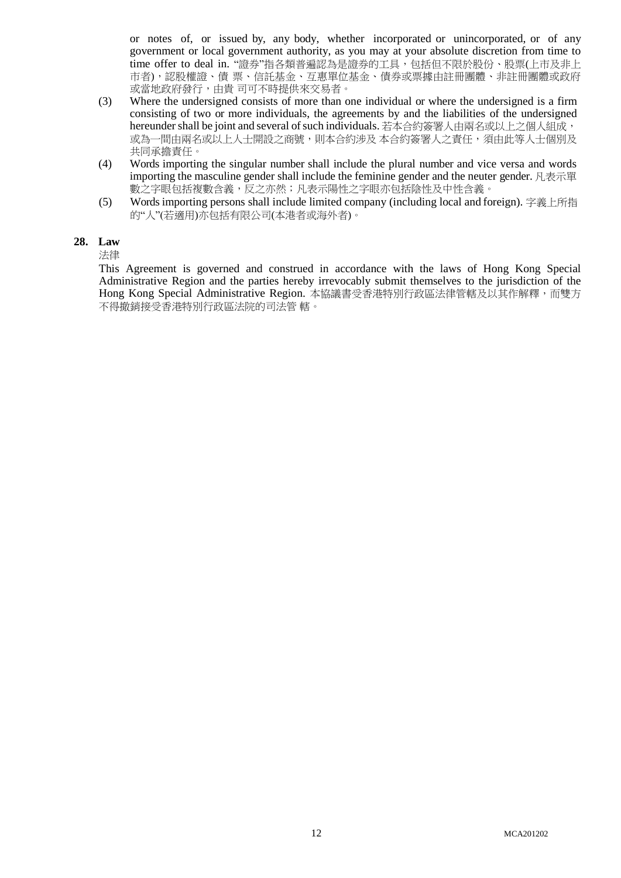or notes of, or issued by, any body, whether incorporated or unincorporated, or of any government or local government authority, as you may at your absolute discretion from time to time offer to deal in. "證券"指各類普遍認為是證券的工具,包括但不限於股份、股票(上市及非上 市者),認股權證、債 票、信託基金、互惠單位基金、債券或票據由註冊團體、非註冊團體或政府 或當地政府發行,由貴 司可不時提供來交易者。

- (3) Where the undersigned consists of more than one individual or where the undersigned is a firm consisting of two or more individuals, the agreements by and the liabilities of the undersigned hereunder shall be joint and several of such individuals. 若本合約簽署人由兩名或以上之個人組成, 或為一間由兩名或以上人士開設之商號,則本合約涉及 本合約簽署人之責任,須由此等人士個別及 共同承擔責任。
- (4) Words importing the singular number shall include the plural number and vice versa and words importing the masculine gender shall include the feminine gender and the neuter gender. 凡表示單 數之字眼包括複數含義,反之亦然;凡表示陽性之字眼亦包括陰性及中性含義。
- (5) Words importing persons shall include limited company (including local and foreign). 字義上所指 的"人"(若適用)亦包括有限公司(本港者或海外者)。

#### **28. Law**

法律

This Agreement is governed and construed in accordance with the laws of Hong Kong Special Administrative Region and the parties hereby irrevocably submit themselves to the jurisdiction of the Hong Kong Special Administrative Region. 本協議書受香港特別行政區法律管轄及以其作解釋, 而雙方 不得撤銷接受香港特別行政區法院的司法管 轄。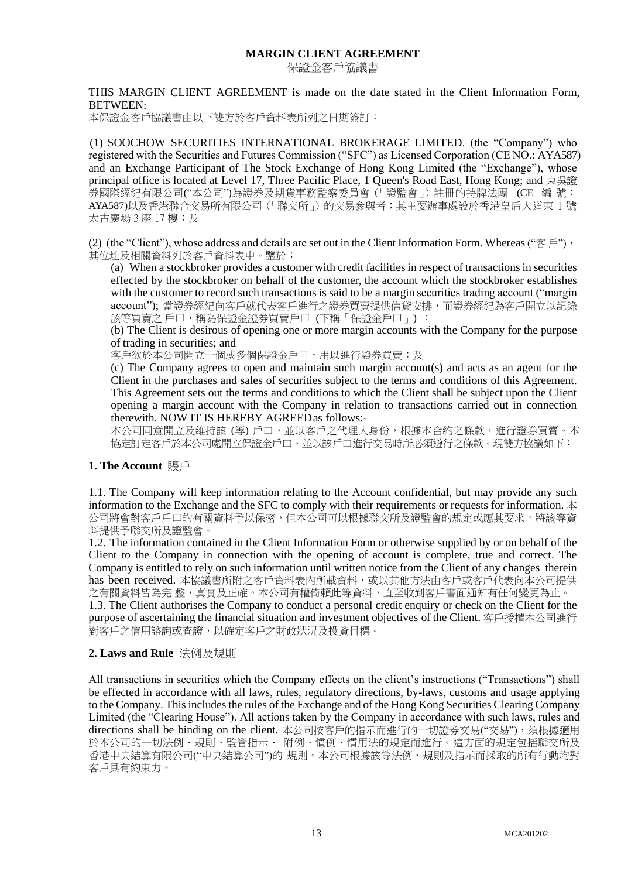## **MARGIN CLIENT AGREEMENT**

保證金客戶協議書

THIS MARGIN CLIENT AGREEMENT is made on the date stated in the Client Information Form, BETWEEN:

本保證金客戶協議書由以下雙方於客戶資料表所列之日期簽訂:

(1) SOOCHOW SECURITIES INTERNATIONAL BROKERAGE LIMITED. (the "Company") who registered with the Securities and Futures Commission ("SFC") as Licensed Corporation (CE NO.: AYA587) and an Exchange Participant of The Stock Exchange of Hong Kong Limited (the "Exchange"), whose principal office is located at Level 17, Three Pacific Place, 1 Queen's Road East, Hong Kong; and 東吳證 券國際經紀有限公司("本公司")為證券及期貨事務監察委員會(「證監會」)註冊的持牌法團 (CE 編 號: AYA587)以及香港聯合交易所有限公司(「聯交所」)的交易參與者;其主要辦事處設於香港皇后大道東 1 號 太古廣場 3 座 17 樓;及

(2) (the "Client"), whose address and details are set out in the Client Information Form. Whereas (" $\mathfrak{F} \in \mathbb{C}$ "), 其位址及相關資料列於客戶資料表中。鑒於:

(a) When a stockbroker provides a customer with credit facilities in respect of transactions in securities effected by the stockbroker on behalf of the customer, the account which the stockbroker establishes with the customer to record such transactions is said to be a margin securities trading account ("margin account"); 當證券經紀向客戶就代表客戶進行之證券買賣提供信貸安排,而證券經紀為客戶開立以記錄 該等買賣之 戶口,稱為保證金證券買賣戶口 (下稱「保證金戶口」) ;

(b) The Client is desirous of opening one or more margin accounts with the Company for the purpose of trading in securities; and

客戶欲於本公司開立一個或多個保證金戶口,用以進行證券買賣;及

(c) The Company agrees to open and maintain such margin account(s) and acts as an agent for the Client in the purchases and sales of securities subject to the terms and conditions of this Agreement. This Agreement sets out the terms and conditions to which the Client shall be subject upon the Client opening a margin account with the Company in relation to transactions carried out in connection therewith. NOW IT IS HEREBY AGREEDas follows:-

本公司同意開立及維持該 (等) 戶口,並以客戶之代理人身份,根據本合約之條款,進行證券買賣。本 協定訂定客戶於本公司處開立保證金戶口,並以該戶口進行交易時所必須遵行之條款。現雙方協議如下:

#### **1. The Account** 賬戶

1.1. The Company will keep information relating to the Account confidential, but may provide any such information to the Exchange and the SFC to comply with their requirements or requests for information. 本 公司將會對客戶戶口的有關資料予以保密,但本公司可以根據聯交所及證監會的規定或應其要求,將該等資 料提供予聯交所及證監會。

1.2. The information contained in the Client Information Form or otherwise supplied by or on behalf of the Client to the Company in connection with the opening of account is complete, true and correct. The Company is entitled to rely on such information until written notice from the Client of any changes therein has been received. 本協議書所附之客戶資料表內所載資料,或以其他方法由客戶或客戶代表向本公司提供 之有關資料皆為完 整,真實及正確。本公司有權倚賴此等資料,直至收到客戶書面通知有任何變更為止。 1.3. The Client authorises the Company to conduct a personal credit enquiry or check on the Client for the

purpose of ascertaining the financial situation and investment objectives of the Client. 客戶授權本公司進行 對客戶之信用諮詢或查證,以確定客戶之財政狀況及投資目標。

#### **2. Laws and Rule** 法例及規則

All transactions in securities which the Company effects on the client's instructions ("Transactions") shall be effected in accordance with all laws, rules, regulatory directions, by-laws, customs and usage applying to the Company. This includes the rules of the Exchange and of the Hong Kong Securities Clearing Company Limited (the "Clearing House"). All actions taken by the Company in accordance with such laws, rules and directions shall be binding on the client. 本公司按客戶的指示而進行的一切證券交易("交易"), 須根據適用 於本公司的一切法例、規則、監管指示、 附例、慣例、慣用法的規定而進行。這方面的規定包括聯交所及 香港中央結算有限公司("中央結算公司")的 規則。本公司根據該等法例、規則及指示而採取的所有行動均對 客戶具有約束力。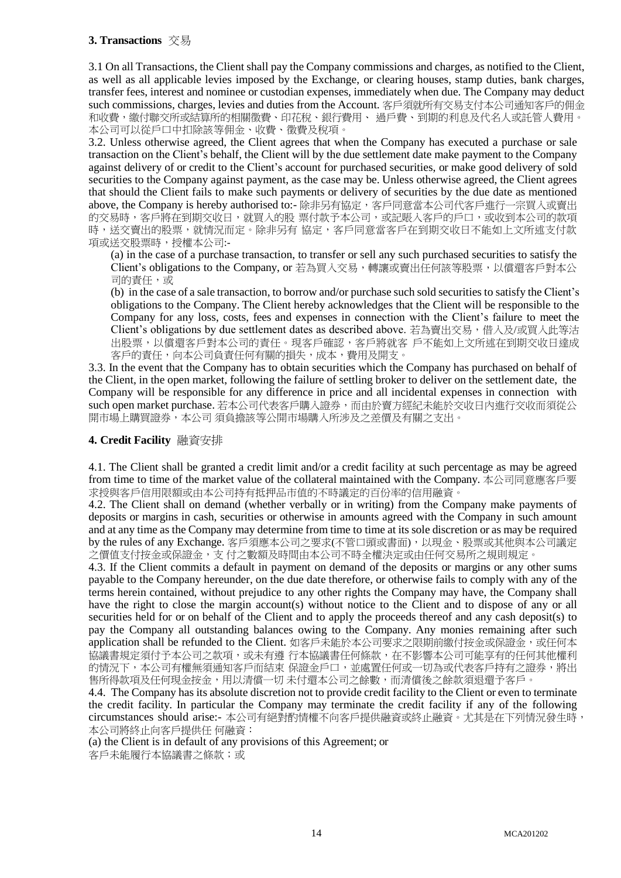# **3. Transactions** 交易

3.1 On all Transactions, the Client shall pay the Company commissions and charges, as notified to the Client, as well as all applicable levies imposed by the Exchange, or clearing houses, stamp duties, bank charges, transfer fees, interest and nominee or custodian expenses, immediately when due. The Company may deduct such commissions, charges, levies and duties from the Account. 客戶須就所有交易支付本公司通知客戶的佣金 和收費,繳付聯交所或結算所的相關徵費、印花稅、銀行費用、 過戶費、到期的利息及代名人或託管人費用。 本公司可以從戶口中扣除該等佣金、收費、徵費及稅項。

3.2. Unless otherwise agreed, the Client agrees that when the Company has executed a purchase or sale transaction on the Client's behalf, the Client will by the due settlement date make payment to the Company against delivery of or credit to the Client's account for purchased securities, or make good delivery of sold securities to the Company against payment, as the case may be. Unless otherwise agreed, the Client agrees that should the Client fails to make such payments or delivery of securities by the due date as mentioned above, the Company is hereby authorised to:- 除非另有協定,客戶同意當本公司代客戶進行一宗買入或賣出 的交易時,客戶將在到期交收日,就買入的股 票付款予本公司,或記賬入客戶的戶口,或收到本公司的款項 時,送交賣出的股票,就情況而定。除非另有 協定,客戶同意當客戶在到期交收日不能如上文所述支付款 項或送交股票時,授權本公司:-

(a) in the case of a purchase transaction, to transfer or sell any such purchased securities to satisfy the Client's obligations to the Company, or 若為買入交易,轉讓或賣出任何該等股票,以償還客戶對本公 司的責任,或

(b) in the case of a sale transaction, to borrow and/or purchase such sold securities to satisfy the Client's obligations to the Company. The Client hereby acknowledges that the Client will be responsible to the Company for any loss, costs, fees and expenses in connection with the Client's failure to meet the Client's obligations by due settlement dates as described above. 若為賣出交易,借入及/或買入此等沽 出股票,以償還客戶對本公司的責任。現客戶確認,客戶將就客 戶不能如上文所述在到期交收日達成 客戶的責任,向本公司負責任何有關的損失,成本,費用及開支。

3.3. In the event that the Company has to obtain securities which the Company has purchased on behalf of the Client, in the open market, following the failure of settling broker to deliver on the settlement date, the Company will be responsible for any difference in price and all incidental expenses in connection with such open market purchase. 若本公司代表客戶購入證券,而由於賣方經紀未能於交收日內進行交收而須從公 開市場上購買證券,本公司 須負擔該等公開市場購入所涉及之差價及有關之支出。

## **4. Credit Facility** 融資安排

4.1. The Client shall be granted a credit limit and/or a credit facility at such percentage as may be agreed from time to time of the market value of the collateral maintained with the Company. 本公司同意應客戶要 求授與客戶信用限額或由本公司持有抵押品市值的不時議定的百份率的信用融資。

4.2. The Client shall on demand (whether verbally or in writing) from the Company make payments of deposits or margins in cash, securities or otherwise in amounts agreed with the Company in such amount and at any time as the Company may determine from time to time at its sole discretion or as may be required by the rules of any Exchange. 客戶須應本公司之要求(不管口頭或書面), 以現金、股票或其他與本公司議定 之價值支付按金或保證金,支 付之數額及時間由本公司不時全權決定或由任何交易所之規則規定。

4.3. If the Client commits a default in payment on demand of the deposits or margins or any other sums payable to the Company hereunder, on the due date therefore, or otherwise fails to comply with any of the terms herein contained, without prejudice to any other rights the Company may have, the Company shall have the right to close the margin account(s) without notice to the Client and to dispose of any or all securities held for or on behalf of the Client and to apply the proceeds thereof and any cash deposit(s) to pay the Company all outstanding balances owing to the Company. Any monies remaining after such application shall be refunded to the Client. 如客戶未能於本公司要求之限期前繳付按金或保證金, 或任何本 協議書規定須付予本公司之款項,或未有遵 行本協議書任何條款,在不影響本公司可能享有的任何其他權利 的情況下,本公司有權無須通知客戶而結束 保證金戶口,並處置任何或一切為或代表客戶持有之證券,將出 售所得款項及任何現金按金,用以清償一切 未付還本公司之餘數,而清償後之餘款須退還予客戶。

4.4. The Company has its absolute discretion not to provide credit facility to the Client or even to terminate the credit facility. In particular the Company may terminate the credit facility if any of the following circumstances should arise:- 本公司有絕對酌情權不向客戶提供融資或終止融資。尤其是在下列情況發生時, 本公司將終止向客戶提供任 何融資:

(a) the Client is in default of any provisions of this Agreement; or

客戶未能履行本協議書之條款;或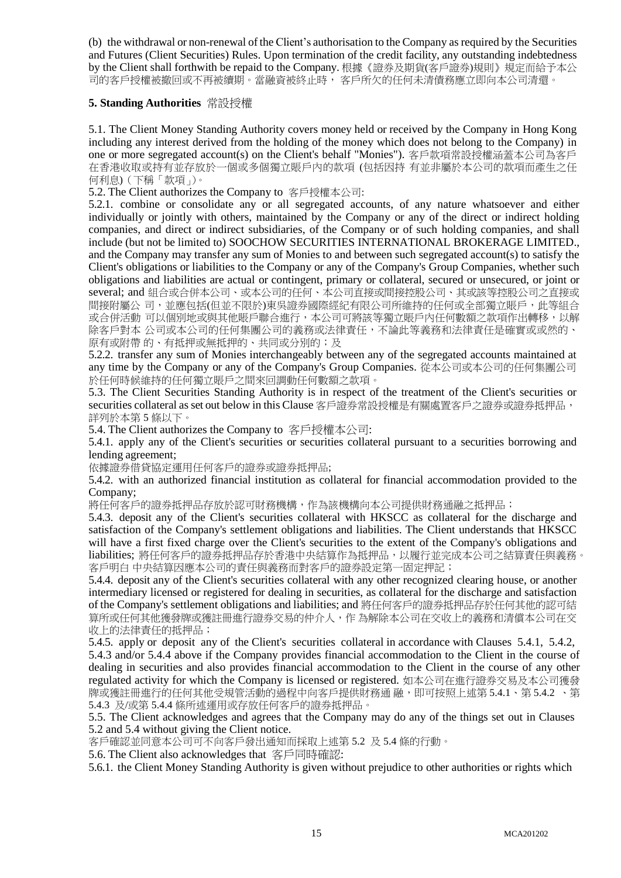(b) the withdrawal or non-renewal of the Client's authorisation to the Company as required by the Securities and Futures (Client Securities) Rules. Upon termination of the credit facility, any outstanding indebtedness by the Client shall forthwith be repaid to the Company. 根據《證券及期貨(客戶證券)規則》規定而給予本公 司的客戶授權被撤回或不再被續期。當融資被終止時, 客戶所欠的任何未清債務應立即向本公司清還。

#### **5. Standing Authorities** 常設授權

5.1. The Client Money Standing Authority covers money held or received by the Company in Hong Kong including any interest derived from the holding of the money which does not belong to the Company) in one or more segregated account(s) on the Client's behalf "Monies"). 客戶款項常設授權涵蓋本公司為客戶 在香港收取或持有並存放於一個或多個獨立賬戶內的款項 (包括因持 有並非屬於本公司的款項而產生之任 何利息)(下稱「款項」)。

5.2. The Client authorizes the Company to 客戶授權本公司:

5.2.1. combine or consolidate any or all segregated accounts, of any nature whatsoever and either individually or jointly with others, maintained by the Company or any of the direct or indirect holding companies, and direct or indirect subsidiaries, of the Company or of such holding companies, and shall include (but not be limited to) SOOCHOW SECURITIES INTERNATIONAL BROKERAGE LIMITED., and the Company may transfer any sum of Monies to and between such segregated account(s) to satisfy the Client's obligations or liabilities to the Company or any of the Company's Group Companies, whether such obligations and liabilities are actual or contingent, primary or collateral, secured or unsecured, or joint or several; and 組合或合併本公司、或本公司的任何、本公司直接或間接控股公司、其或該等控股公司之直接或 間接附屬公司,並應包括(但並不限於)東吳證券國際經紀有限公司所維持的任何或全部獨立賬戶,此等組合 或合併活動 可以個別地或與其他賬戶聯合進行,本公司可將該等獨立賬戶內任何數額之款項作出轉移,以解 除客戶對本 公司或本公司的任何集團公司的義務或法律責任,不論此等義務和法律責任是確實或或然的、 原有或附帶的、有抵押或無抵押的、共同或分別的;及

5.2.2. transfer any sum of Monies interchangeably between any of the segregated accounts maintained at any time by the Company or any of the Company's Group Companies. 從本公司或本公司的任何集團公司 於任何時候維持的任何獨立賬戶之間來回調動任何數額之款項。

5.3. The Client Securities Standing Authority is in respect of the treatment of the Client's securities or securities collateral as set out below in this Clause 客戶證券常設授權是有關處置客戶之證券或證券抵押品, 詳列於本第 5 條以下。

5.4. The Client authorizes the Company to 客戶授權本公司:

5.4.1. apply any of the Client's securities or securities collateral pursuant to a securities borrowing and lending agreement;

依據證券借貸協定運用任何客戶的證券或證券抵押品;

5.4.2. with an authorized financial institution as collateral for financial accommodation provided to the Company;

將任何客戶的證券抵押品存放於認可財務機構,作為該機構向本公司提供財務通融之抵押品;

5.4.3. deposit any of the Client's securities collateral with HKSCC as collateral for the discharge and satisfaction of the Company's settlement obligations and liabilities. The Client understands that HKSCC will have a first fixed charge over the Client's securities to the extent of the Company's obligations and liabilities; 將任何客戶的證券抵押品存於香港中央結算作為抵押品,以履行並完成本公司之結算責任與義務。 客戶明白 中央結算因應本公司的責任與義務而對客戶的證券設定第一固定押記;

5.4.4. deposit any of the Client's securities collateral with any other recognized clearing house, or another intermediary licensed or registered for dealing in securities, as collateral for the discharge and satisfaction of the Company's settlement obligations and liabilities; and 將任何客戶的證券抵押品存於任何其他的認可結 算所或任何其他獲發牌或獲註冊進行證券交易的仲介人,作 為解除本公司在交收上的義務和清償本公司在交 收上的法律責任的抵押品;

5.4.5. apply or deposit any of the Client's securities collateral in accordance with Clauses 5.4.1, 5.4.2, 5.4.3 and/or 5.4.4 above if the Company provides financial accommodation to the Client in the course of dealing in securities and also provides financial accommodation to the Client in the course of any other regulated activity for which the Company is licensed or registered. 如本公司在進行證券交易及本公司獲發 牌或獲註冊進行的任何其他受規管活動的過程中向客戶提供財務通 融,即可按照上述第 5.4.1、第 5.4.2 、第 5.4.3 及/或第 5.4.4 條所述運用或存放任何客戶的證券抵押品。

5.5. The Client acknowledges and agrees that the Company may do any of the things set out in Clauses 5.2 and 5.4 without giving the Client notice.

客戶確認並同意本公司可不向客戶發出通知而採取上述第 5.2 及 5.4 條的行動。

5.6. The Client also acknowledges that 客戶同時確認:

5.6.1. the Client Money Standing Authority is given without prejudice to other authorities or rights which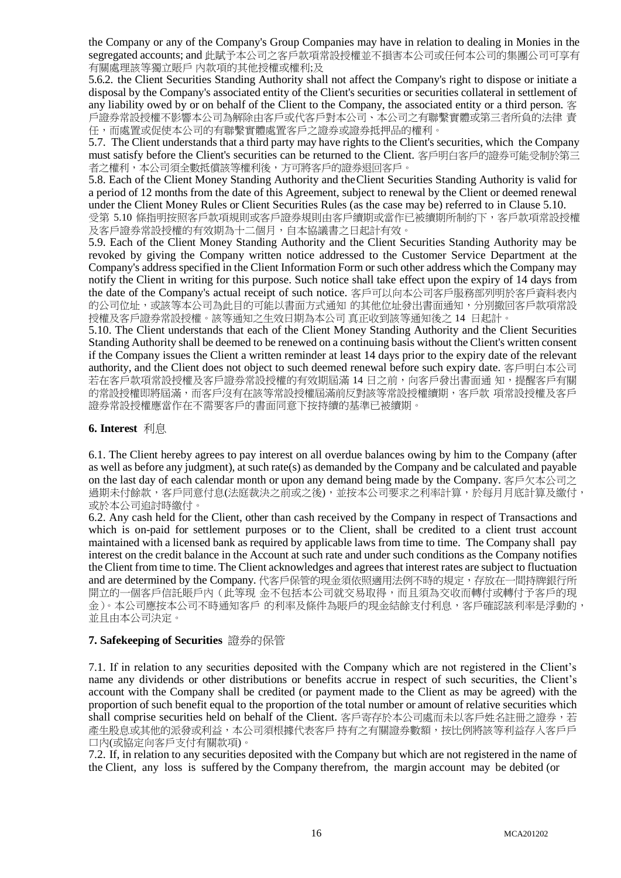the Company or any of the Company's Group Companies may have in relation to dealing in Monies in the segregated accounts; and 此賦予本公司之客戶款項常設授權並不損害本公司或任何本公司的集團公司可享有 有關處理該等獨立賬戶 內款項的其他授權或權利;及

5.6.2. the Client Securities Standing Authority shall not affect the Company's right to dispose or initiate a disposal by the Company's associated entity of the Client's securities or securities collateral in settlement of any liability owed by or on behalf of the Client to the Company, the associated entity or a third person. 客 戶證券常設授權不影響本公司為解除由客戶或代客戶對本公司、本公司之有聯繫實體或第三者所負的法律 責 任,而處置或促使本公司的有聯繫實體處置客戶之證券或證券抵押品的權利。

5.7. The Client understands that a third party may have rights to the Client's securities, which the Company must satisfy before the Client's securities can be returned to the Client. 客戶明白客戶的證券可能受制於第三 者之權利,本公司須全數抵償該等權利後,方可將客戶的證券退回客戶。

5.8. Each of the Client Money Standing Authority and theClient Securities Standing Authority is valid for a period of 12 months from the date of this Agreement, subject to renewal by the Client or deemed renewal under the Client Money Rules or Client Securities Rules (as the case may be) referred to in Clause 5.10.

受第 5.10 條指明按照客戶款項規則或客戶證券規則由客戶續期或當作已被續期所制約下,客戶款項常設授權 及客戶證券常設授權的有效期為十二個月,自本協議書之日起計有效。

5.9. Each of the Client Money Standing Authority and the Client Securities Standing Authority may be revoked by giving the Company written notice addressed to the Customer Service Department at the Company's address specified in the Client Information Form or such other address which the Company may notify the Client in writing for this purpose. Such notice shall take effect upon the expiry of 14 days from the date of the Company's actual receipt of such notice. 客戶可以向本公司客戶服務部列明於客戶資料表內 的公司位址,或該等本公司為此目的可能以書面方式通知 的其他位址發出書面通知,分別撤回客戶款項常設 授權及客戶證券常設授權。該等通知之生效日期為本公司 真正收到該等通知後之 14 日起計。

5.10. The Client understands that each of the Client Money Standing Authority and the Client Securities Standing Authority shall be deemed to be renewed on a continuing basis without the Client's written consent if the Company issues the Client a written reminder at least 14 days prior to the expiry date of the relevant authority, and the Client does not object to such deemed renewal before such expiry date. 客戶明白本公司 若在客戶款項常設授權及客戶證券常設授權的有效期屆滿 14 日之前,向客戶發出書面通 知,提醒客戶有關 的常設授權即將屆滿,而客戶沒有在該等常設授權屆滿前反對該等常設授權續期,客戶款 項常設授權及客戶 證券常設授權應當作在不需要客戶的書面同意下按持續的基準已被續期。

#### **6. Interest** 利息

6.1. The Client hereby agrees to pay interest on all overdue balances owing by him to the Company (after as well as before any judgment), at such rate(s) as demanded by the Company and be calculated and payable on the last day of each calendar month or upon any demand being made by the Company. 客戶欠本公司之 過期未付餘款,客戶同意付息(法庭裁決之前或之後),並按本公司要求之利率計算,於每月月底計算及繳付, 或於本公司追討時繳付。

6.2. Any cash held for the Client, other than cash received by the Company in respect of Transactions and which is on-paid for settlement purposes or to the Client, shall be credited to a client trust account maintained with a licensed bank as required by applicable laws from time to time. The Company shall pay interest on the credit balance in the Account at such rate and under such conditions as the Company notifies the Client from time to time. The Client acknowledges and agrees that interest rates are subject to fluctuation and are determined by the Company. 代客戶保管的現金須依照適用法例不時的規定,存放在一間持牌銀行所 開立的一個客戶信託賬戶內(此等現 金不包括本公司就交易取得,而且須為交收而轉付或轉付予客戶的現 金)。本公司應按本公司不時通知客戶 的利率及條件為賬戶的現金結餘支付利息,客戶確認該利率是浮動的, 並且由本公司決定。

#### **7. Safekeeping of Securities** 證券的保管

7.1. If in relation to any securities deposited with the Company which are not registered in the Client's name any dividends or other distributions or benefits accrue in respect of such securities, the Client's account with the Company shall be credited (or payment made to the Client as may be agreed) with the proportion of such benefit equal to the proportion of the total number or amount of relative securities which shall comprise securities held on behalf of the Client. 客戶寄存於本公司處而未以客戶姓名註冊之證券,若 產生股息或其他的派發或利益,本公司須根據代表客戶持有之有關證券數額,按比例將該等利益存入客戶戶 口內(或協定向客戶支付有關款項)。

7.2. If, in relation to any securities deposited with the Company but which are not registered in the name of the Client, any loss is suffered by the Company therefrom, the margin account may be debited (or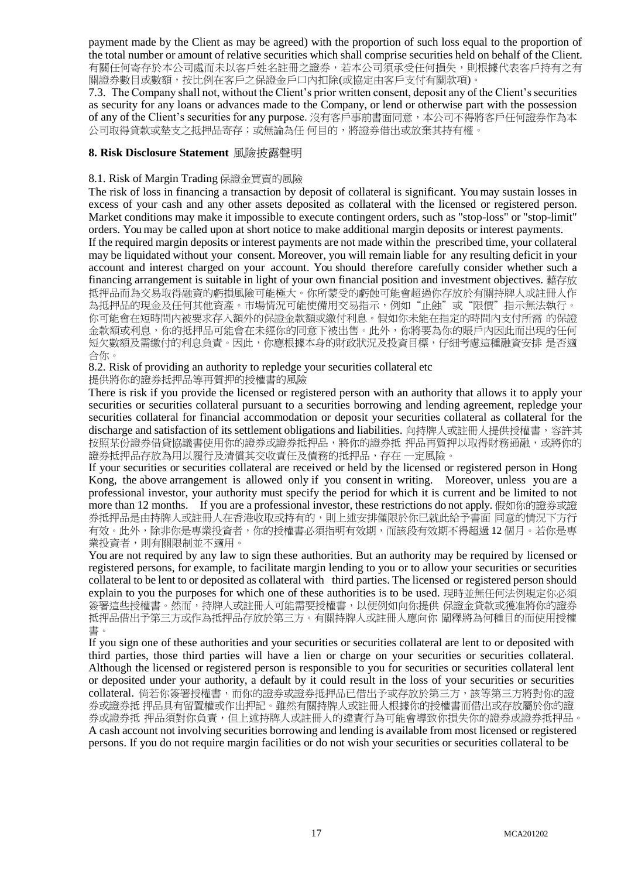payment made by the Client as may be agreed) with the proportion of such loss equal to the proportion of the total number or amount of relative securities which shall comprise securities held on behalf of the Client. 有關任何寄存於本公司處而未以客戶姓名註冊之證券,若本公司須承受任何損失,則根據代表客戶持有之有 關證券數目或數額,按比例在客戶之保證金戶口內扣除(或協定由客戶支付有關款項)。

7.3. The Company shall not, without the Client's prior written consent, deposit any of the Client's securities as security for any loans or advances made to the Company, or lend or otherwise part with the possession of any of the Client's securities for any purpose. 沒有客戶事前書面同意,本公司不得將客戶任何證券作為本 公司取得貸款或墊支之抵押品寄存;或無論為任 何目的,將證券借出或放棄其持有權。

#### **8. Risk Disclosure Statement** 風險披露聲明

#### 8.1. Risk of Margin Trading 保證金買賣的風險

The risk of loss in financing a transaction by deposit of collateral is significant. You may sustain losses in excess of your cash and any other assets deposited as collateral with the licensed or registered person. Market conditions may make it impossible to execute contingent orders, such as "stop-loss" or "stop-limit" orders. You may be called upon at short notice to make additional margin deposits or interest payments.

If the required margin deposits or interest payments are not made within the prescribed time, your collateral may be liquidated without your consent. Moreover, you will remain liable for any resulting deficit in your account and interest charged on your account. You should therefore carefully consider whether such a financing arrangement is suitable in light of your own financial position and investment objectives. 藉存放 抵押品而為交易取得融資的虧損風險可能極大。你所蒙受的虧蝕可能會超過你存放於有關持牌人或註冊人作 為抵押品的現金及任何其他資產。市場情況可能使備用交易指示,例如"止蝕"或"限價"指示無法執行。 你可能會在短時間內被要求存入額外的保證金款額或繳付利息。假如你未能在指定的時間內支付所需 的保證 金款額或利息,你的抵押品可能會在未經你的同意下被出售。此外,你將要為你的賬戶內因此而出現的任何 短欠數額及需繳付的利息負責。因此,你應根據本身的財政狀況及投資目標,仔細考慮這種融資安排 是否適 合你。

8.2. Risk of providing an authority to repledge your securities collateral etc

提供將你的證券抵押品等再質押的授權書的風險

There is risk if you provide the licensed or registered person with an authority that allows it to apply your securities or securities collateral pursuant to a securities borrowing and lending agreement, repledge your securities collateral for financial accommodation or deposit your securities collateral as collateral for the discharge and satisfaction of its settlement obligations and liabilities. 向持牌人或註冊人提供授權書,容許其 按照某份證券借貸協議書使用你的證券或證券抵押品,將你的證券抵 押品再質押以取得財務通融,或將你的 證券抵押品存放為用以履行及清償其交收責任及債務的抵押品,存在 一定風險。

If your securities or securities collateral are received or held by the licensed or registered person in Hong Kong, the above arrangement is allowed only if you consent in writing. Moreover, unless you are a professional investor, your authority must specify the period for which it is current and be limited to not more than 12 months. If you are a professional investor, these restrictions do not apply. 假如你的證券或證 券抵押品是由持牌人或註冊人在香港收取或持有的,則上述安排僅限於你已就此給予書面 同意的情況下方行 有效。此外,除非你是專業投資者,你的授權書必須指明有效期,而該段有效期不得超過 12 個月。若你是專 業投資者,則有關限制並不適用。

You are not required by any law to sign these authorities. But an authority may be required by licensed or registered persons, for example, to facilitate margin lending to you or to allow your securities or securities collateral to be lent to or deposited as collateral with third parties. The licensed or registered person should explain to you the purposes for which one of these authorities is to be used. 現時並無任何法例規定你必須 簽署這些授權書。然而,持牌人或註冊人可能需要授權書,以便例如向你提供 保證金貸款或獲准將你的證券 抵押品借出予第三方或作為抵押品存放於第三方。有關持牌人或註冊人應向你 闡釋將為何種目的而使用授權 書。

If you sign one of these authorities and your securities or securities collateral are lent to or deposited with third parties, those third parties will have a lien or charge on your securities or securities collateral. Although the licensed or registered person is responsible to you for securities or securities collateral lent or deposited under your authority, a default by it could result in the loss of your securities or securities collateral. 倘若你簽署授權書,而你的證券或證券抵押品已借出予或存放於第三方,該等第三方將對你的證 券或證券抵 押品具有留置權或作出押記。雖然有關持牌人或註冊人根據你的授權書而借出或存放屬於你的證 券或證券抵 押品須對你負責,但上述持牌人或註冊人的違責行為可能會導致你損失你的證券或證券抵押品。 A cash account not involving securities borrowing and lending is available from most licensed or registered persons. If you do not require margin facilities or do not wish your securities or securities collateral to be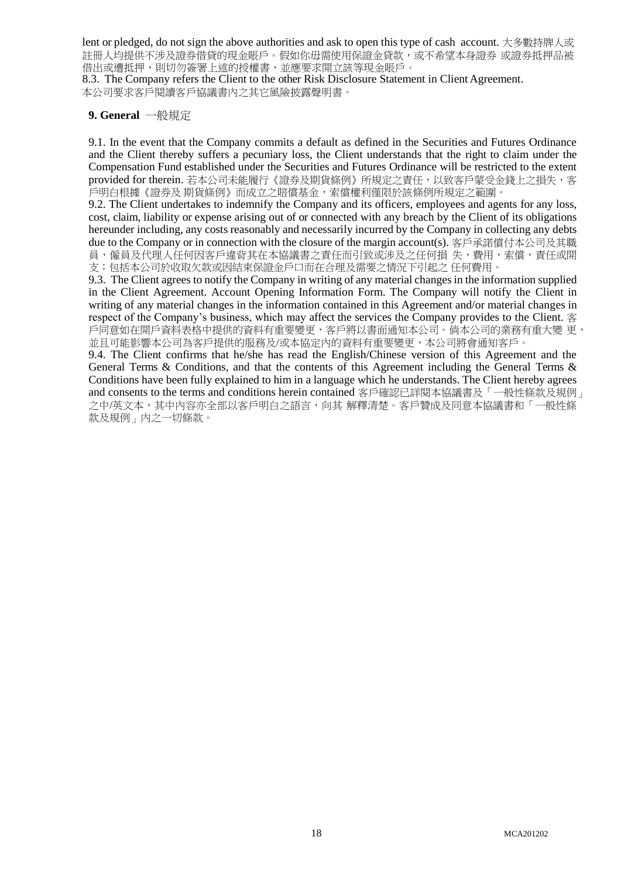lent or pledged, do not sign the above authorities and ask to open this type of cash account. 大多數持牌人或 註冊人均提供不涉及證券借貸的現金賬戶。假如你毋需使用保證金貸款,或不希望本身證券 或證券抵押品被 借出或遭抵押,則切勿簽署上述的授權書,並應要求開立該等現金賬戶。

8.3. The Company refers the Client to the other Risk Disclosure Statement in Client Agreement. 本公司要求客戶閱讀客戶協議書內之其它風險披露聲明書。

#### **9. General** 一般規定

9.1. In the event that the Company commits a default as defined in the Securities and Futures Ordinance and the Client thereby suffers a pecuniary loss, the Client understands that the right to claim under the Compensation Fund established under the Securities and Futures Ordinance will be restricted to the extent provided for therein. 若本公司未能履行《證券及期貨條例》所規定之責任, 以致客戶蒙受金錢上之損失, 客 戶明白根據《證券及 期貨條例》而成立之賠償基金,索償權利僅限於該條例所規定之範圍。

9.2. The Client undertakes to indemnify the Company and its officers, employees and agents for any loss, cost, claim, liability or expense arising out of or connected with any breach by the Client of its obligations hereunder including, any costs reasonably and necessarily incurred by the Company in collecting any debts due to the Company or in connection with the closure of the margin account(s). 客戶承諾償付本公司及其職 員,僱員及代理人任何因客戶違背其在本協議書之責任而引致或涉及之任何損 失,費用,索償,責任或開 支;包括本公司於收取欠款或因結束保證金戶口而在合理及需要之情況下引起之 任何費用。

9.3. The Client agrees to notify the Company in writing of any material changes in the information supplied in the Client Agreement. Account Opening Information Form. The Company will notify the Client in writing of any material changes in the information contained in this Agreement and/or material changes in respect of the Company's business, which may affect the services the Company provides to the Client. 客 戶同意如在開戶資料表格中提供的資料有重要變更,客戶將以書面通知本公司。倘本公司的業務有重大變 更, 並且可能影響本公司為客戶提供的服務及/或本協定內的資料有重要變更,本公司將會通知客戶。

9.4. The Client confirms that he/she has read the English/Chinese version of this Agreement and the General Terms & Conditions, and that the contents of this Agreement including the General Terms & Conditions have been fully explained to him in a language which he understands. The Client hereby agrees and consents to the terms and conditions herein contained 客戶確認已詳閱本協議書及「一般性條款及規例」 之中/英文本,其中內容亦全部以客戶明白之語言,向其 解釋清楚。客戶贊成及同意本協議書和「一般性條 款及規例」內之一切條款。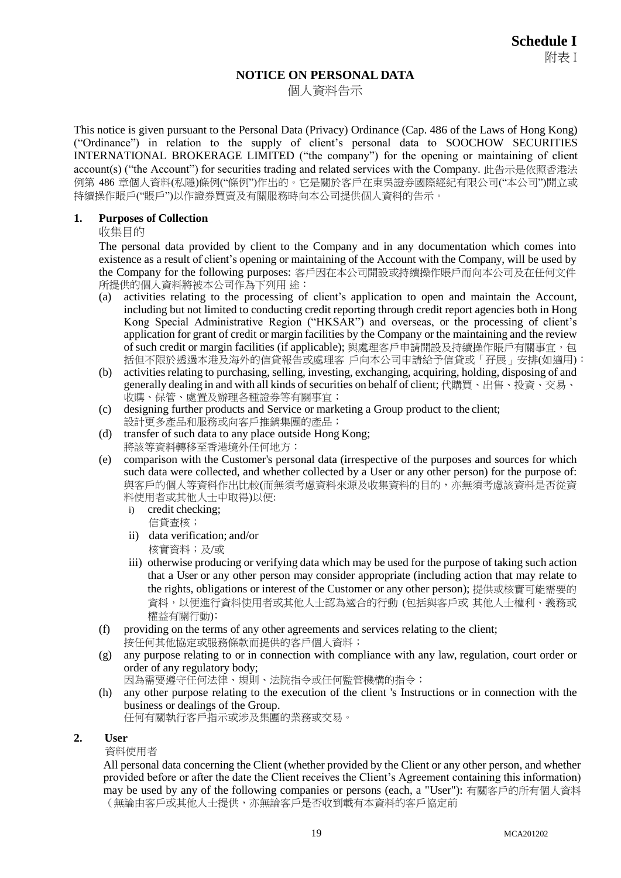# **NOTICE ON PERSONAL DATA**

個人資料告示

This notice is given pursuant to the Personal Data (Privacy) Ordinance (Cap. 486 of the Laws of Hong Kong) ("Ordinance") in relation to the supply of client's personal data to SOOCHOW SECURITIES INTERNATIONAL BROKERAGE LIMITED ("the company") for the opening or maintaining of client account(s) ("the Account") for securities trading and related services with the Company. 此告示是依照香港法 例第 486 章個人資料(私隱)條例("條例")作出的。它是關於客戶在東吳證券國際經紀有限公司("本公司")開立或 持續操作賬戶("賬戶")以作證券買賣及有關服務時向本公司提供個人資料的告示。

## **1. Purposes of Collection**

收集目的

The personal data provided by client to the Company and in any documentation which comes into existence as a result of client's opening or maintaining of the Account with the Company, will be used by the Company for the following purposes: 客戶因在本公司開設或持續操作賬戶而向本公司及在任何文件 所提供的個人資料將被本公司作為下列用途:

- (a) activities relating to the processing of client's application to open and maintain the Account, including but not limited to conducting credit reporting through credit report agencies both in Hong Kong Special Administrative Region ("HKSAR") and overseas, or the processing of client's application for grant of credit or margin facilities by the Company or the maintaining and the review of such credit or margin facilities (if applicable); 與處理客戶申請開設及持續操作賬戶有關事宜, 包 括但不限於透過本港及海外的信貸報告或處理客 戶向本公司申請給予信貸或「孖展」安排(如適用):
- (b) activities relating to purchasing, selling, investing, exchanging, acquiring, holding, disposing of and generally dealing in and with all kinds of securities on behalf of client; 代購買、出售、投資、交易、 收購、保管、處置及辦理各種證券等有關事宜;
- (c) designing further products and Service or marketing a Group product to the client; 設計更多產品和服務或向客戶推銷集團的產品;
- (d) transfer of such data to any place outside Hong Kong; 將該等資料轉移至香港境外任何地方;
- (e) comparison with the Customer's personal data (irrespective of the purposes and sources for which such data were collected, and whether collected by a User or any other person) for the purpose of: 與客戶的個人等資料作出比較(而無須考慮資料來源及收集資料的目的,亦無須考慮該資料是否從資 料使用者或其他人士中取得)以便:
	- i) credit checking; 信貸查核;
	- ii) data verification; and/or 核實資料;及/或
	- iii) otherwise producing or verifying data which may be used for the purpose of taking such action that a User or any other person may consider appropriate (including action that may relate to the rights, obligations or interest of the Customer or any other person); 提供或核實可能需要的 資料,以便進行資料使用者或其他人士認為適合的行動 (包括與客戶或 其他人士權利、義務或 權益有關行動);
- (f) providing on the terms of any other agreements and services relating to the client; 按任何其他協定或服務條款而提供的客戶個人資料;
- (g) any purpose relating to or in connection with compliance with any law, regulation, court order or order of any regulatory body; 因為需要遵守任何法律、規則、法院指令或任何監管機構的指令;
- (h) any other purpose relating to the execution of the client 's Instructions or in connection with the business or dealings of the Group. 任何有關執行客戶指示或涉及集團的業務或交易。

#### **2. User**

#### 資料使用者

All personal data concerning the Client (whether provided by the Client or any other person, and whether provided before or after the date the Client receives the Client's Agreement containing this information) may be used by any of the following companies or persons (each, a "User"): 有關客戶的所有個人資料 (無論由客戶或其他人士提供,亦無論客戶是否收到載有本資料的客戶協定前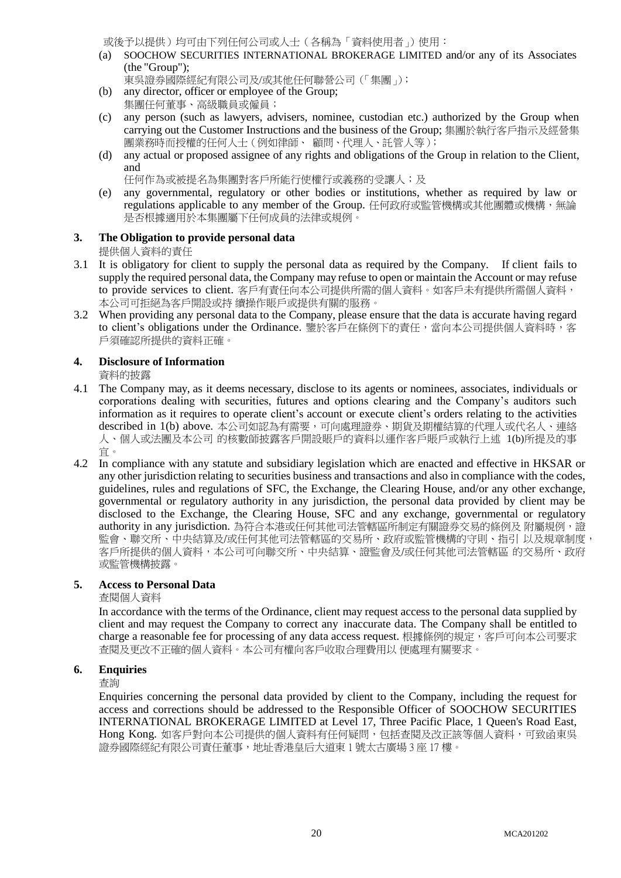或後予以提供)均可由下列任何公司或人士(各稱為「資料使用者」)使用:

(a) SOOCHOW SECURITIES INTERNATIONAL BROKERAGE LIMITED and/or any of its Associates (the "Group");

東吳證券國際經紀有限公司及/或其他任何聯營公司(「集團」);

- (b) any director, officer or employee of the Group;
- 集團任何董事、高級職員或僱員;
- (c) any person (such as lawyers, advisers, nominee, custodian etc.) authorized by the Group when carrying out the Customer Instructions and the business of the Group; 集團於執行客戶指示及經營集 團業務時而授權的任何人士(例如律師、 顧問、代理人、託管人等);
- (d) any actual or proposed assignee of any rights and obligations of the Group in relation to the Client, and

任何作為或被提名為集團對客戶所能行使權行或義務的受讓人;及

(e) any governmental, regulatory or other bodies or institutions, whether as required by law or regulations applicable to any member of the Group. 任何政府或監管機構或其他團體或機構,無論 是否根據適用於本集團屬下任何成員的法律或規例。

# **3. The Obligation to provide personal data**

提供個人資料的責任

- 3.1 It is obligatory for client to supply the personal data as required by the Company. If client fails to supply the required personal data, the Company may refuse to open or maintain the Account or may refuse to provide services to client. 客戶有責任向本公司提供所需的個人資料。如客戶未有提供所需個人資料, 本公司可拒絕為客戶開設或持 續操作賬戶或提供有關的服務。
- 3.2 When providing any personal data to the Company, please ensure that the data is accurate having regard to client's obligations under the Ordinance. 鑒於客戶在條例下的責任,當向本公司提供個人資料時,客 戶須確認所提供的資料正確。

## **4. Disclosure of Information**

資料的披露

- 4.1 The Company may, as it deems necessary, disclose to its agents or nominees, associates, individuals or corporations dealing with securities, futures and options clearing and the Company's auditors such information as it requires to operate client's account or execute client's orders relating to the activities described in 1(b) above. 本公司如認為有需要,可向處理證券、期貨及期權結算的代理人或代名人、連絡 人、個人或法團及本公司 的核數師披露客戶開設賬戶的資料以運作客戶賬戶或執行上述 1(b)所提及的事 宜。
- 4.2 In compliance with any statute and subsidiary legislation which are enacted and effective in HKSAR or any other jurisdiction relating to securities business and transactions and also in compliance with the codes, guidelines, rules and regulations of SFC, the Exchange, the Clearing House, and/or any other exchange, governmental or regulatory authority in any jurisdiction, the personal data provided by client may be disclosed to the Exchange, the Clearing House, SFC and any exchange, governmental or regulatory authority in any jurisdiction. 為符合本港或任何其他司法管轄區所制定有關證券交易的條例及附屬規例,證 監會、聯交所、中央結算及/或任何其他司法管轄區的交易所、政府或監管機構的守則、指引 以及規章制度, 客戶所提供的個人資料,本公司可向聯交所、中央結算、證監會及/或任何其他司法管轄區 的交易所、政府 或監管機構披露。

#### **5. Access to Personal Data**

#### 查閱個人資料

In accordance with the terms of the Ordinance, client may request access to the personal data supplied by client and may request the Company to correct any inaccurate data. The Company shall be entitled to charge a reasonable fee for processing of any data access request. 根據條例的規定,客戶可向本公司要求 查閱及更改不正確的個人資料。本公司有權向客戶收取合理費用以 便處理有關要求。

#### **6. Enquiries**

查詢

Enquiries concerning the personal data provided by client to the Company, including the request for access and corrections should be addressed to the Responsible Officer of SOOCHOW SECURITIES INTERNATIONAL BROKERAGE LIMITED at Level 17, Three Pacific Place, 1 Queen's Road East, Hong Kong. 如客戶對向本公司提供的個人資料有任何疑問,包括查閱及改正該等個人資料,可致函東吳 證券國際經紀有限公司責任董事,地址香港皇后大道東 1 號太古廣場 3 座 17 樓。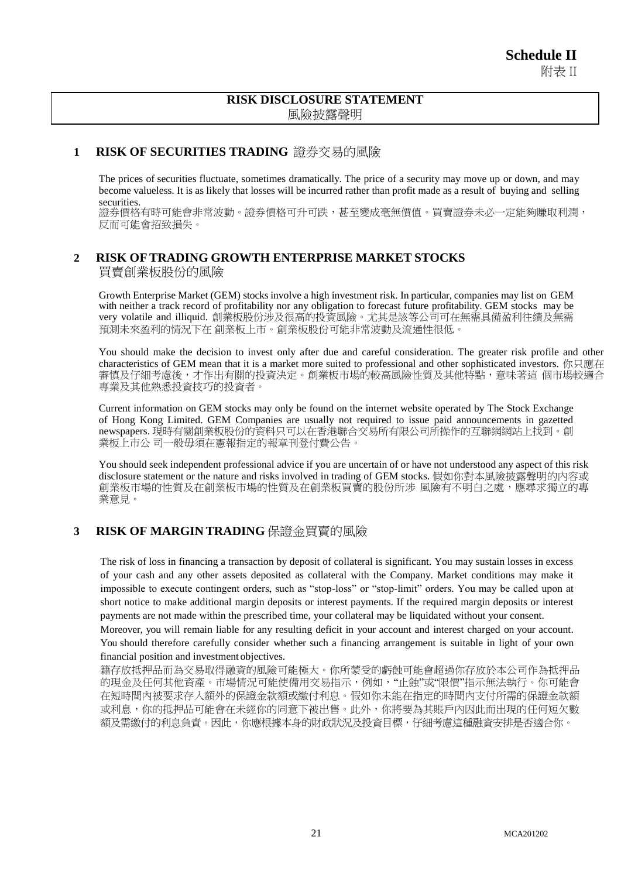# **RISK DISCLOSURE STATEMENT** 風險披露聲明

# **1 RISK OF SECURITIES TRADING** 證券交易的風險

The prices of securities fluctuate, sometimes dramatically. The price of a security may move up or down, and may become valueless. It is as likely that losses will be incurred rather than profit made as a result of buying and selling securities.

證券價格有時可能會非常波動。證券價格可升可跌,甚至變成毫無價值。買賣證券未必一定能夠賺取利潤, 反而可能會招致損失。

## **2 RISK OFTRADING GROWTH ENTERPRISE MARKET STOCKS** 買賣創業板股份的風險

Growth Enterprise Market (GEM) stocks involve a high investment risk. In particular, companies may list on GEM with neither a track record of profitability nor any obligation to forecast future profitability. GEM stocks may be very volatile and illiquid. 創業板股份涉及很高的投資風險。尤其是該等公司可在無需具備盈利往績及無需 預測未來盈利的情況下在 創業板上市。創業板股份可能非常波動及流通性很低。

You should make the decision to invest only after due and careful consideration. The greater risk profile and other characteristics of GEM mean that it is a market more suited to professional and other sophisticated investors. 你只應在 審慎及仔細考慮後,才作出有關的投資決定。創業板市場的較高風險性質及其他特點,意味著這 個市場較適合 專業及其他熟悉投資技巧的投資者。

Current information on GEM stocks may only be found on the internet website operated by The Stock Exchange of Hong Kong Limited. GEM Companies are usually not required to issue paid announcements in gazetted newspapers. 現時有關創業板股份的資料只可以在香港聯合交易所有限公司所操作的互聯網網站上找到。創 業板上市公 司一般毋須在憲報指定的報章刊登付費公告。

You should seek independent professional advice if you are uncertain of or have not understood any aspect of this risk disclosure statement or the nature and risks involved in trading of GEM stocks. 假如你對本風險披露聲明的內容或 創業板市場的性質及在創業的買賣的股份所涉 風險有不明白之處,應尋求獨立的專 業意見。

# **3 RISK OF MARGIN TRADING** 保證金買賣的風險

The risk of loss in financing a transaction by deposit of collateral is significant. You may sustain losses in excess of your cash and any other assets deposited as collateral with the Company. Market conditions may make it impossible to execute contingent orders, such as "stop-loss" or "stop-limit" orders. You may be called upon at short notice to make additional margin deposits or interest payments. If the required margin deposits or interest payments are not made within the prescribed time, your collateral may be liquidated without your consent.

Moreover, you will remain liable for any resulting deficit in your account and interest charged on your account. You should therefore carefully consider whether such a financing arrangement is suitable in light of your own financial position and investment objectives.

籍存放抵押品而為交易取得融資的風險可能極大。你所蒙受的虧蝕可能會超過你存放於本公司作為抵押品 的現金及任何其他資產。市場情況可能使備用交易指示,例如,"止蝕"或"限價"指示無法執行。你可能會 在短時間內被要求存入額外的保證金款額或繳付利息。假如你未能在指定的時間內支付所需的保證金款額 或利息,你的抵押品可能會在未經你的同意下被出售。此外,你將要為其賬戶內因此而出現的任何短欠數 額及需繳付的利息負責。因此,你應根據本身的財政狀況及投資目標,仔細考慮這種融資安排是否適合你。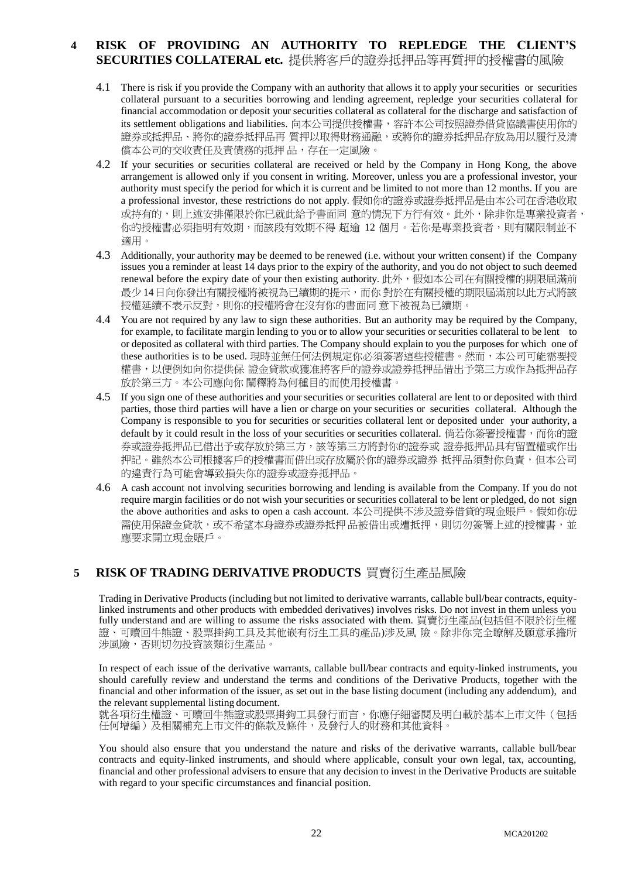# **4 RISK OF PROVIDING AN AUTHORITY TO REPLEDGE THE CLIENT'S SECURITIES COLLATERAL etc.** 提供將客戶的證券抵押品等再質押的授權書的風險

- 4.1 There is risk if you provide the Company with an authority that allows it to apply your securities or securities collateral pursuant to a securities borrowing and lending agreement, repledge your securities collateral for financial accommodation or deposit your securities collateral as collateral for the discharge and satisfaction of its settlement obligations and liabilities. 向本公司提供授權書,容許本公司按照證券借貸協議書使用你的 證券或抵押品、將你的證券抵押品再 質押以取得財務通融,或將你的證券抵押品存放為用以履行及清 償本公司的交收責任及責債務的抵押 品,存在一定風險。
- 4.2 If your securities or securities collateral are received or held by the Company in Hong Kong, the above arrangement is allowed only if you consent in writing. Moreover, unless you are a professional investor, your authority must specify the period for which it is current and be limited to not more than 12 months. If you are a professional investor, these restrictions do not apply. 假如你的證券或證券抵押品是由本公司在香港收取 或持有的,則上述安排僅限於你已就此給予書面同 意的情況下方行有效。此外,除非你是專業投資者, 你的授權書必須指明有效期,而該段有效期不得 超逾 12 個月。若你是專業投資者,則有關限制並不 適用。
- 4.3 Additionally, your authority may be deemed to be renewed (i.e. without your written consent) if the Company issues you a reminder at least 14 days prior to the expiry of the authority, and you do not object to such deemed renewal before the expiry date of your then existing authority. 此外, 假如本公司在有關授權的期限屆滿前 最少 14日向你發出有關授權將被視為已續期的提示,而你 對於在有關授權的期限屆滿前以此方式將該 授權延續不表示反對,則你的授權將會在沒有你的書面同 意下被視為已續期。
- 4.4 You are not required by any law to sign these authorities. But an authority may be required by the Company, for example, to facilitate margin lending to you or to allow your securities or securities collateral to be lent to or deposited as collateral with third parties. The Company should explain to you the purposes for which one of these authorities is to be used. 現時並無任何法例規定你必須簽署這些授權書。然而,本公司可能需要授 權書,以便例如向你提供保 證金貸款或獲准將客戶的證券或證券抵押品借出予第三方或作為抵押品存 放於第三方。本公司應向你 闡釋將為何種目的而使用授權書。
- 4.5 If you sign one of these authorities and your securities or securities collateral are lent to or deposited with third parties, those third parties will have a lien or charge on your securities or securities collateral. Although the Company is responsible to you for securities or securities collateral lent or deposited under your authority, a default by it could result in the loss of your securities or securities collateral. 倘若你簽署授權書, 而你的證 券或證券抵押品已借出予或存放於第三方,該等第三方將對你的證券或 證券抵押品具有留置權或作出 押記。雖然本公司根據客戶的授權書而借出或存放屬於你的證券或證券 抵押品須對你負責,但本公司 的違責行為可能會導致損失你的證券或證券抵押品。
- 4.6 A cash account not involving securities borrowing and lending is available from the Company. If you do not require margin facilities or do not wish your securities or securities collateral to be lent or pledged, do not sign the above authorities and asks to open a cash account. 本公司提供不涉及證券借貸的現金賬戶。假如你毋 需使用保證金貸款,或不希望本身證券或證券抵押 品被借出或遭抵押,則切勿簽署上述的授權書,並 應要求開立現金賬戶。

# **5 RISK OF TRADING DERIVATIVE PRODUCTS** 買賣衍生產品風險

Trading in Derivative Products (including but not limited to derivative warrants, callable bull/bear contracts, equitylinked instruments and other products with embedded derivatives) involves risks. Do not invest in them unless you fully understand and are willing to assume the risks associated with them. 買賣衍生產品(包括但不限於衍生權 證、可贖回牛熊證、股票掛鉤工具及其他嵌有衍生工具的產品)涉及風 險。除非你完全瞭解及願意承擔所 涉風險,否則切勿投資該類衍生產品。

In respect of each issue of the derivative warrants, callable bull/bear contracts and equity-linked instruments, you should carefully review and understand the terms and conditions of the Derivative Products, together with the financial and other information of the issuer, as set out in the base listing document (including any addendum), and the relevant supplemental listing document.

就各項衍生權證、可贖回牛熊證或股票掛鉤工具發行而言,你應仔細審閱及明白載於基本上市文件(包括 任何增編)及相關補充上市文件的條款及條件,及發行人的財務和其他資料。

You should also ensure that you understand the nature and risks of the derivative warrants, callable bull/bear contracts and equity-linked instruments, and should where applicable, consult your own legal, tax, accounting, financial and other professional advisers to ensure that any decision to invest in the Derivative Products are suitable with regard to your specific circumstances and financial position.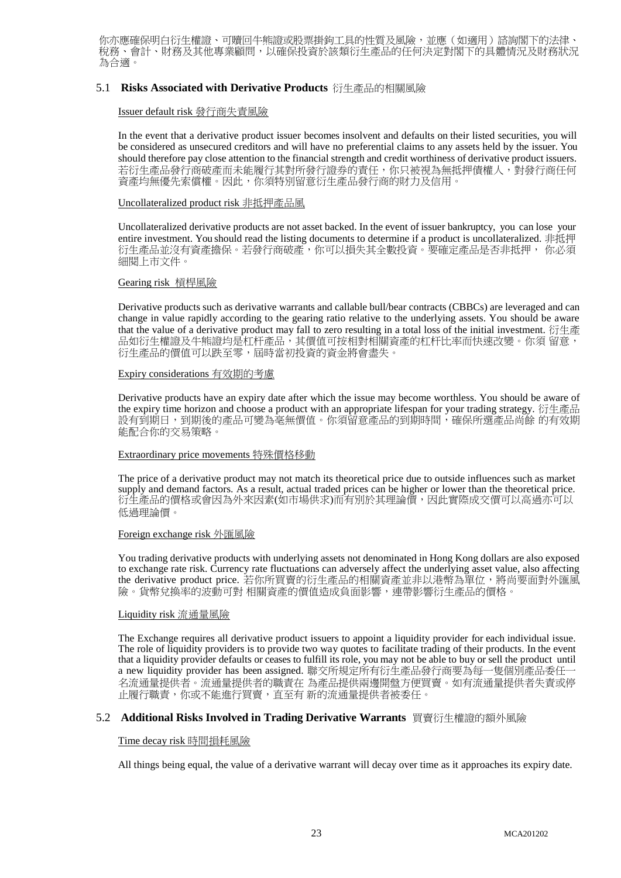你亦應確保明白衍生權證、可贖回牛熊證或股票掛鉤工具的性質及風險,並應(如適用)諮詢閣下的法律、 稅務、會計、財務及其他專業顧問,以確保投資於該類衍生產品的任何決定對閣下的具體情況及財務狀況 為合適。

#### 5.1 **Risks Associated with Derivative Products** 衍生產品的相關風險

#### Issuer default risk 發行商失責風險

In the event that a derivative product issuer becomes insolvent and defaults on their listed securities, you will be considered as unsecured creditors and will have no preferential claims to any assets held by the issuer. You should therefore pay close attention to the financial strength and credit worthiness of derivative product issuers. 若衍生產品發行商破產而未能履行其對所發行證券的責任,你只被視為無抵押債權人,對發行商任何 資產均無優先索償權。因此,你須特別留意衍生產品發行商的財力及信用。

#### Uncollateralized product risk 非抵押產品風

Uncollateralized derivative products are not asset backed. In the event of issuer bankruptcy, you can lose your entire investment. You should read the listing documents to determine if a product is uncollateralized. 非抵押 衍生產品並沒有資產擔保。若發行商破產,你可以損失其全數投資。要確定產品是否非抵押, 你必須 細閱上市文件。

#### Gearing risk 槓桿風險

Derivative products such as derivative warrants and callable bull/bear contracts (CBBCs) are leveraged and can change in value rapidly according to the gearing ratio relative to the underlying assets. You should be aware that the value of a derivative product may fall to zero resulting in a total loss of the initial investment. 衍生產 品如衍生權證及牛熊證均是杠杆產品,其價值可按相對相關資產的杠杆比率而快速改變。你須 留意, 衍生產品的價值可以跌至零,屆時當初投資的資金將會盡失。

#### Expiry considerations 有效期的考慮

Derivative products have an expiry date after which the issue may become worthless. You should be aware of the expiry time horizon and choose a product with an appropriate lifespan for your trading strategy. 衍生產品 設有到期日,到期後的產品可變為亳無價值。你須留意產品的到期時間,確保所選產品尚餘 的有效期 能配合你的交易策略。

#### Extraordinary price movements 特殊價格移動

The price of a derivative product may not match its theoretical price due to outside influences such as market supply and demand factors. As a result, actual traded prices can be higher or lower than the theoretical price. 衍生產品的價格或會因為外來因素(如市場供求)而有別於其理論價,因此實際成交價可以高過亦可以 低過理論價。

#### Foreign exchange risk 外匯風險

You trading derivative products with underlying assets not denominated in Hong Kong dollars are also exposed to exchange rate risk. Currency rate fluctuations can adversely affect the underlying asset value, also affecting the derivative product price. 若你所買賣的衍生產品的相關資產並非以港幣為單位,將尚要面對外匯風 險。貨幣兌換率的波動可對 相關資產的價值造成負面影響,連帶影響衍生產品的價格。

#### Liquidity risk 流通量風險

The Exchange requires all derivative product issuers to appoint a liquidity provider for each individual issue. The role of liquidity providers is to provide two way quotes to facilitate trading of their products. In the event that a liquidity provider defaults or ceases to fulfill its role, you may not be able to buy or sell the product until a new liquidity provider has been assigned. 聯交所規定所有衍生產品發行商要為每一隻個別產品委任一 名流通量提供者。流通量提供者的職責在 為產品提供兩邊開盤方便買賣。如有流通量提供者失責或停 止履行職責,你或不能進行買賣,直至有 新的流通量提供者被委任。

#### 5.2 **Additional Risks Involved in Trading Derivative Warrants** 買賣衍生權證的額外風險

#### Time decay risk 時間損耗風險

All things being equal, the value of a derivative warrant will decay over time as it approaches its expiry date.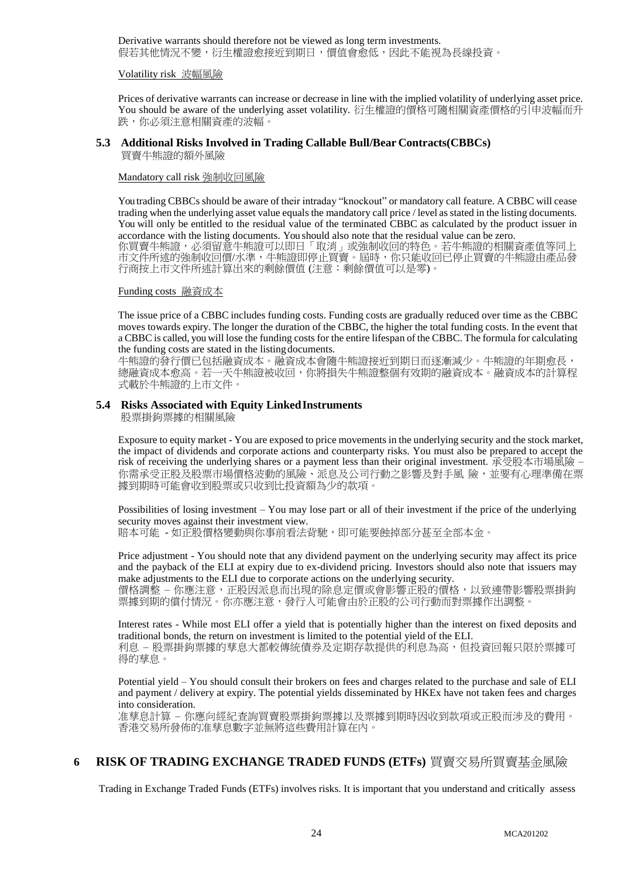Derivative warrants should therefore not be viewed as long term investments. 假若其他情況不變,衍生權證愈接近到期日,價值會愈低,因此不能視為長線投資。

#### Volatility risk 波幅風險

Prices of derivative warrants can increase or decrease in line with the implied volatility of underlying asset price. You should be aware of the underlying asset volatility. 衍生權證的價格可隨相關資產價格的引申波幅而升 跌,你必須注意相關資產的波幅。

## **5.3 Additional Risks Involved in Trading Callable Bull/Bear Contracts(CBBCs)**

買賣牛熊證的額外風險

#### Mandatory call risk 強制收回風險

You trading CBBCs should be aware of their intraday "knockout" or mandatory call feature. A CBBC will cease trading when the underlying asset value equals the mandatory call price / level as stated in the listing documents. You will only be entitled to the residual value of the terminated CBBC as calculated by the product issuer in accordance with the listing documents. You should also note that the residual value can be zero. 你買賣牛熊證,必須留意牛熊證可以即日「取消」或強制收回的特色。若牛熊證的相關資產值等同上

市文件所述的強制收回價/水準,牛熊證即停止買賣。屆時,你只能收回已停止買賣的牛熊證由產品發 行商按上市文件所述計算出來的剩餘價值(注意:剩餘價值可以是零)。

Funding costs 融資成本

The issue price of a CBBC includes funding costs. Funding costs are gradually reduced over time as the CBBC moves towards expiry. The longer the duration of the CBBC, the higher the total funding costs. In the event that a CBBC is called, you will lose the funding costs for the entire lifespan of the CBBC. The formula for calculating the funding costs are stated in the listingdocuments.

牛熊證的發行價已包括融資成本。融資成本會隨牛熊證接近到期日而逐漸減少。牛熊證的年期愈長, 總融資成本愈高。若一天牛熊證被收回,你將損失牛熊證整個有效期的融資成本。融資成本的計算程 式載於牛熊證的上市文件。

#### **5.4 Risks Associated with Equity LinkedInstruments**

股票掛鉤票據的相關風險

Exposure to equity market - You are exposed to price movements in the underlying security and the stock market, the impact of dividends and corporate actions and counterparty risks. You must also be prepared to accept the risk of receiving the underlying shares or a payment less than their original investment. 承受股本市場風險 – 你需承受正股及股票市場價格波動的風險、派息及公司行動之影響及對手風 險,並要有心理準備在票 據到期時可能會收到股票或只收到比投資額為少的款項。

Possibilities of losing investment – You may lose part or all of their investment if the price of the underlying security moves against their investment view. 賠本可能 - 如正股價格變動與你事前看法背馳,即可能要蝕掉部分甚至全部本金。

Price adjustment - You should note that any dividend payment on the underlying security may affect its price and the payback of the ELI at expiry due to ex-dividend pricing. Investors should also note that issuers may

make adjustments to the ELI due to corporate actions on the underlying security. 價格調整 - 你應注意,正股因派息而出現的除息定價或會影響正股的價格,以致連帶影響股票掛鉤 票據到期的償付情況。你亦應注意,發行人可能會由於正股的公司行動而對票據作出調整。

Interest rates - While most ELI offer a yield that is potentially higher than the interest on fixed deposits and traditional bonds, the return on investment is limited to the potential yield of the ELI. 利息 – 股票掛鉤票據的孳息大都較傳統債券及定期存款提供的利息為高,但投資回報只限於票據可 得的孳息。

Potential yield – You should consult their brokers on fees and charges related to the purchase and sale of ELI and payment / delivery at expiry. The potential yields disseminated by HKEx have not taken fees and charges into consideration.

准孳息計算 – 你應向經紀查詢買賣股票掛鉤票據以及票據到期時因收到款項或正股而涉及的費用。 香港交易所發佈的准孳息數字並無將這些費用計算在內。

## **6 RISK OF TRADING EXCHANGE TRADED FUNDS (ETFs)** 買賣交易所買賣基金風險

Trading in Exchange Traded Funds (ETFs) involves risks. It is important that you understand and critically assess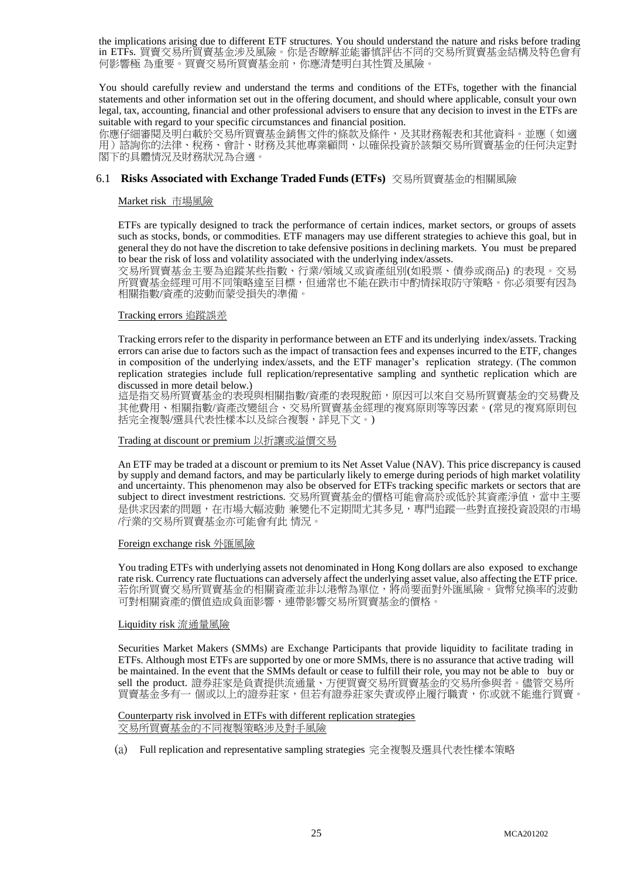the implications arising due to different ETF structures. You should understand the nature and risks before trading in ETFs. 買賣交易所買賣基金涉及風險。你是否瞭解並能審慎評估不同的交易所買賣基金結構及特色會有 何影響極 為重要。買賣交易所買賣基金前,你應清楚明白其性質及風險。

You should carefully review and understand the terms and conditions of the ETFs, together with the financial statements and other information set out in the offering document, and should where applicable, consult your own legal, tax, accounting, financial and other professional advisers to ensure that any decision to invest in the ETFs are suitable with regard to your specific circumstances and financial position.

你應仔細審閱及明白載於交易所買賣基金銷售文件的條款及條件,及其財務報表和其他資料。並應(如適 用)諮詢你的法律、稅務、會計、財務及其他專業顧問,以確保投資於該類交易所買賣基金的任何決定對 閣下的具體情況及財務狀況為合適。

#### 6.1 **Risks Associated with Exchange Traded Funds (ETFs)** 交易所買賣基金的相關風險

Market risk 市場風險

ETFs are typically designed to track the performance of certain indices, market sectors, or groups of assets such as stocks, bonds, or commodities. ETF managers may use different strategies to achieve this goal, but in general they do not have the discretion to take defensive positions in declining markets. You must be prepared to bear the risk of loss and volatility associated with the underlying index/assets.

交易所買賣基金主要為追蹤某些指數、行業/領域又或資產組別(如股票、債券或商品) 的表現。交易 所買賣基金經理可用不同策略達至目標,但通常也不能在跌市中酌情採取防守策略。你必須要有因為 相關指數/資產的波動而蒙受損失的準備。

#### Tracking errors 追蹤誤差

Tracking errors refer to the disparity in performance between an ETF and its underlying index/assets. Tracking errors can arise due to factors such as the impact of transaction fees and expenses incurred to the ETF, changes in composition of the underlying index/assets, and the ETF manager's replication strategy. (The common replication strategies include full replication/representative sampling and synthetic replication which are discussed in more detail below.)

這是指交易所買賣基金的表現相關指數/資產的表現脫節,原因可以來自交易所買賣基金的交易費及 其他費用、相關指數/資產改變組合、交易所買賣基金經理的複寫原則等等因素。(常見的複寫原則包 括完全複製/選具代表性樣本以及綜合複製,詳見下文。)

#### Trading at discount or premium 以折讓或溢價交易

An ETF may be traded at a discount or premium to its Net Asset Value (NAV). This price discrepancy is caused by supply and demand factors, and may be particularly likely to emerge during periods of high market volatility and uncertainty. This phenomenon may also be observed for ETFs tracking specific markets or sectors that are subject to direct investment restrictions. 交易所買賣基金的價格可能會高於或低於其資產淨值,當中主要 是供求因素的問題,在市場大幅波動 兼變化不定期間尤其多見,專門追蹤一些對直接投資設限的市場 /行業的交易所買賣基金亦可能會有此 情況。

#### Foreign exchange risk 外匯風險

You trading ETFs with underlying assets not denominated in Hong Kong dollars are also exposed to exchange rate risk. Currency rate fluctuations can adversely affect the underlying asset value, also affecting the ETF price. 若你所買賣交易所買賣基金的相關資產並非以港幣為單位,將尚要面對外匯風險。貨幣兌換率的波動 可對相關資產的價值造成負面影響,連帶影響交易所買賣基金的價格。

#### Liquidity risk 流通量風險

Securities Market Makers (SMMs) are Exchange Participants that provide liquidity to facilitate trading in ETFs. Although most ETFs are supported by one or more SMMs, there is no assurance that active trading will be maintained. In the event that the SMMs default or cease to fulfill their role, you may not be able to buy or sell the product. 證券莊家是負責提供流通量、方便買賣交易所買賣基金的交易所參與者。儘管交易所 買賣基金多有一 個或以上的證券莊家,但若有證券莊家失責或停止履行職責,你或就不能進行買賣。

Counterparty risk involved in ETFs with different replication strategies 交易所買賣基金的不同複製策略涉及對手風險

(a) Full replication and representative sampling strategies 完全複製及選具代表性樣本策略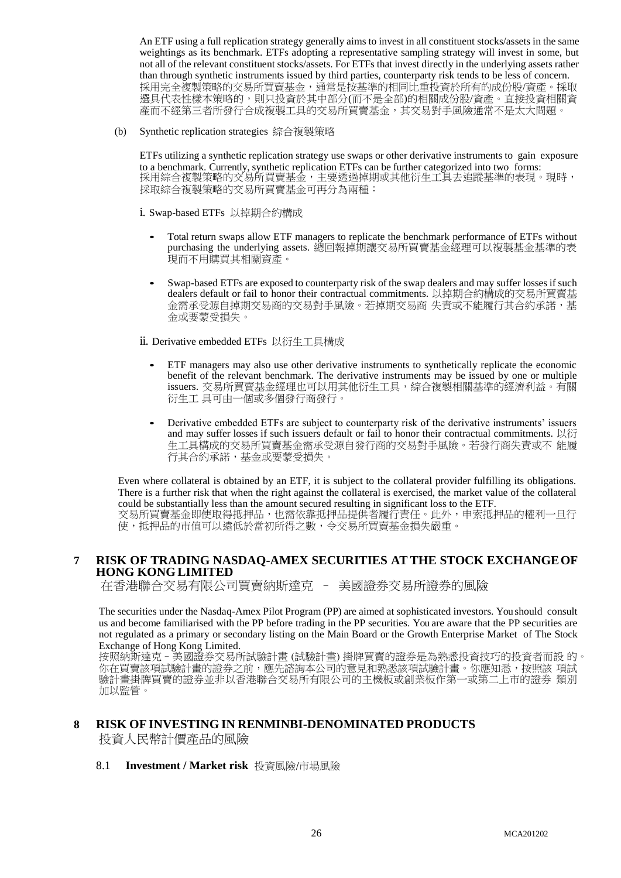An ETF using a full replication strategy generally aims to invest in all constituent stocks/assets in the same weightings as its benchmark. ETFs adopting a representative sampling strategy will invest in some, but not all of the relevant constituent stocks/assets. For ETFs that invest directly in the underlying assets rather than through synthetic instruments issued by third parties, counterparty risk tends to be less of concern. 採用完全複製策略的交易所買賣基金,通常是按基準的相同比重投資於所有的成份股/資產。採取 選具代表性樣本策略的,則只投資於其中部分(而不是全部)的相關成份股/資產。直接投資相關資 產而不經第三者所發行合成複製工具的交易所買賣基金,其交易對手風險通常不是太大問題。

(b) Synthetic replication strategies 綜合複製策略

ETFs utilizing a synthetic replication strategy use swaps or other derivative instruments to gain exposure to a benchmark. Currently, synthetic replication ETFs can be further categorized into two forms: 採用綜合複製策略的交易所買賣基金,主要透過掉期或其他衍生工具去追蹤基準的表現。現時, 採取綜合複製策略的交易所買賣基金可再分為兩種:

i. Swap-based ETFs 以掉期合約構成

- Total return swaps allow ETF managers to replicate the benchmark performance of ETFs without purchasing the underlying assets. 總回報掉期讓交易所買賣基金經理可以複製基金基準的表 現而不用購買其相關資產。
- Swap-based ETFs are exposed to counterparty risk of the swap dealers and may suffer losses if such dealers default or fail to honor their contractual commitments. 以掉期合約構成的交易所買賣基 金需承受源自掉期交易商的交易對手風險。若掉期交易商 失責或不能履行其合約承諾,基 金或要蒙受損失。

ii. Derivative embedded ETFs 以衍生工具構成

- ETF managers may also use other derivative instruments to synthetically replicate the economic benefit of the relevant benchmark. The derivative instruments may be issued by one or multiple issuers. 交易所買賣基金經理也可以用其他衍生工具,綜合複製相關基準的經濟利益。有關 衍生工 具可由一個或多個發行商發行。
- Derivative embedded ETFs are subject to counterparty risk of the derivative instruments' issuers and may suffer losses if such issuers default or fail to honor their contractual commitments. 以衍 生工具構成的交易所買賣基金需承受源自發行商的交易對手風險。若發行商失責或不 能履 行其合約承諾,基金或要蒙受損失。

Even where collateral is obtained by an ETF, it is subject to the collateral provider fulfilling its obligations. There is a further risk that when the right against the collateral is exercised, the market value of the collateral could be substantially less than the amount secured resulting in significant loss to the ETF. 交易所買賣基金即使取得抵押品,也需依靠抵押品提供者履行責任。此外,申索抵押品的權利一旦行 使,抵押品的市值可以遠低於當初所得之數,令交易所買賣基金損失嚴重。

## **7 RISK OF TRADING NASDAQ-AMEX SECURITIES AT THE STOCK EXCHANGEOF HONG KONG LIMITED**

在香港聯合交易有限公司買賣納斯達克 – 美國證券交易所證券的風險

The securities under the Nasdaq-Amex Pilot Program (PP) are aimed at sophisticated investors. You should consult us and become familiarised with the PP before trading in the PP securities. You are aware that the PP securities are not regulated as a primary or secondary listing on the Main Board or the Growth Enterprise Market of The Stock Exchange of Hong Kong Limited.

按照納斯達克–美國證券交易所試驗計畫 (試驗計畫) 掛牌買賣的證券是為熟悉投資技巧的投資者而設 的。 你在買賣該項試驗計畫的證券之前,應先諮詢本公司的意見和熟悉該項試驗計畫。你應知悉,按照該 項試 驗計畫掛牌買賣的證券並非以香港聯合交易所有限公司的主機板或創業板作第一或第二上市的證券 類別 加以監管。

# **8 RISK OFINVESTING IN RENMINBI-DENOMINATED PRODUCTS** 投資人民幣計價產品的風險

#### 8.1 **Investment / Market risk** 投資風險/市場風險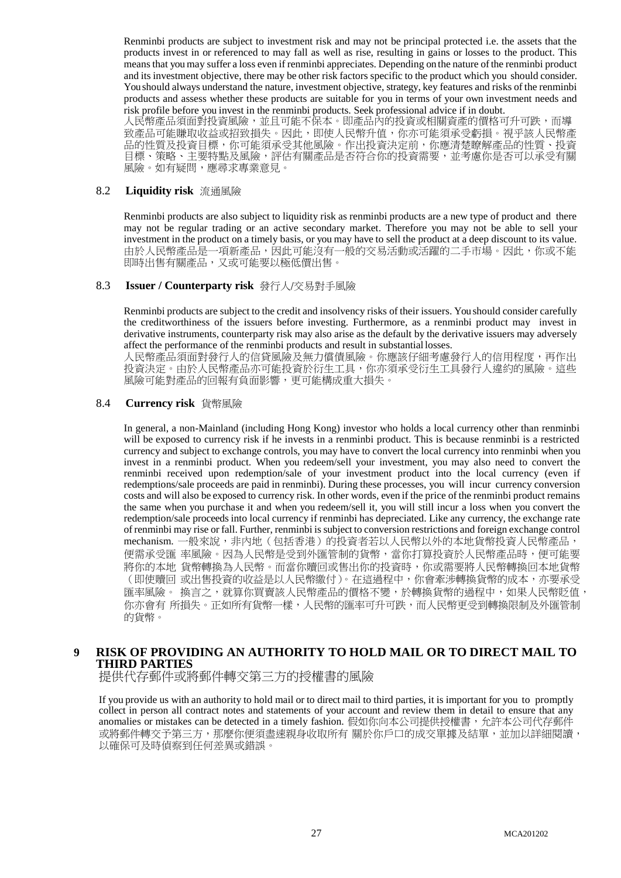Renminbi products are subject to investment risk and may not be principal protected i.e. the assets that the products invest in or referenced to may fall as well as rise, resulting in gains or losses to the product. This means that you may suffer a loss even if renminbi appreciates. Depending on the nature of the renminbi product and its investment objective, there may be other risk factors specific to the product which you should consider. You should always understand the nature, investment objective, strategy, key features and risks of the renminbi products and assess whether these products are suitable for you in terms of your own investment needs and risk profile before you invest in the renminbi products. Seek professional advice if in doubt.

人民幣產品須面對投資風險,並且可能不保本。即產品內的投資或相關資產的價格可升可跌,而導 致產品可能賺取收益或招致損失。因此,即使人民幣升值,你亦可能須承受虧損。視乎該人民幣產 品的性質及投資目標,你可能須承受其他風險。作出投資決定前,你應清楚瞭解產品的性質、投資 目標、策略、主要特點及風險,評估有關產品是否符合你的投資需要,並考慮你是否可以承受有關 風險。如有疑問,應尋求專業意見。

#### 8.2 **Liquidity risk** 流通風險

Renminbi products are also subject to liquidity risk as renminbi products are a new type of product and there may not be regular trading or an active secondary market. Therefore you may not be able to sell your investment in the product on a timely basis, or you may have to sell the product at a deep discount to its value. 由於人民幣產品是一項新產品,因此可能沒有一般的交易活動或活躍的二手市場。因此,你或不能 即時出售有關產品,又或可能要以極低價出售。

#### 8.3 **Issuer / Counterparty risk** 發行人/交易對手風險

Renminbi products are subject to the credit and insolvency risks of their issuers. You should consider carefully the creditworthiness of the issuers before investing. Furthermore, as a renminbi product may invest in derivative instruments, counterparty risk may also arise as the default by the derivative issuers may adversely affect the performance of the renminbi products and result in substantial losses.

人民幣產品須面對發行人的信貸風險及無力償債風險。你應該仔細考慮發行人的信用程度,再作出 投資決定。由於人民幣產品亦可能投資於衍生工具,你亦須承受衍生工具發行人違約的風險。這些 風險可能對產品的回報有負面影響,更可能構成重大損失。

#### 8.4 **Currency risk** 貨幣風險

In general, a non-Mainland (including Hong Kong) investor who holds a local currency other than renminbi will be exposed to currency risk if he invests in a renminbi product. This is because renminbi is a restricted currency and subject to exchange controls, you may have to convert the local currency into renminbi when you invest in a renminbi product. When you redeem/sell your investment, you may also need to convert the renminbi received upon redemption/sale of your investment product into the local currency (even if redemptions/sale proceeds are paid in renminbi). During these processes, you will incur currency conversion costs and will also be exposed to currency risk. In other words, even if the price of the renminbi product remains the same when you purchase it and when you redeem/sell it, you will still incur a loss when you convert the redemption/sale proceeds into local currency if renminbi has depreciated. Like any currency, the exchange rate of renminbi may rise or fall. Further, renminbi is subject to conversion restrictions and foreign exchange control mechanism. 一般來說,非內地(包括香港)的投資者若以人民幣以外的本地貨幣投資人民幣產品, 便需承受匯 率風險。因為人民幣是受到外匯管制的貨幣,當你打算投資於人民幣產品時,便可能要 將你的本地 貨幣轉換為人民幣。而當你贖回或售出你的投資時,你或需要將人民幣轉換回本地貨幣 (即使贖回 或出售投資的收益是以人民幣繳付)。在這過程中,你會牽涉轉換貨幣的成本,亦要承受 匯率風險。 換言之,就算你買賣該人民幣產品的價格不變,於轉換貨幣的過程中,如果人民幣貶值, 你亦會有 所損失。正如所有貨幣一樣,人民幣的匯率可升可跌,而人民幣更受到轉換限制及外匯管制 的貨幣。

## **9 RISK OF PROVIDING AN AUTHORITY TO HOLD MAIL OR TO DIRECT MAIL TO THIRD PARTIES**

提供代存郵件或將郵件轉交第三方的授權書的風險

If you provide us with an authority to hold mail or to direct mail to third parties, it is important for you to promptly collect in person all contract notes and statements of your account and review them in detail to ensure that any anomalies or mistakes can be detected in a timely fashion. 假如你向本公司提供授權書,允許本公司代存郵件 或將郵件轉交予第三方,那麼你便須盡速親身收取所有 關於你戶口的成交單據及結單,並加以詳細閱讀, 以確保可及時偵察到任何差異或錯誤。